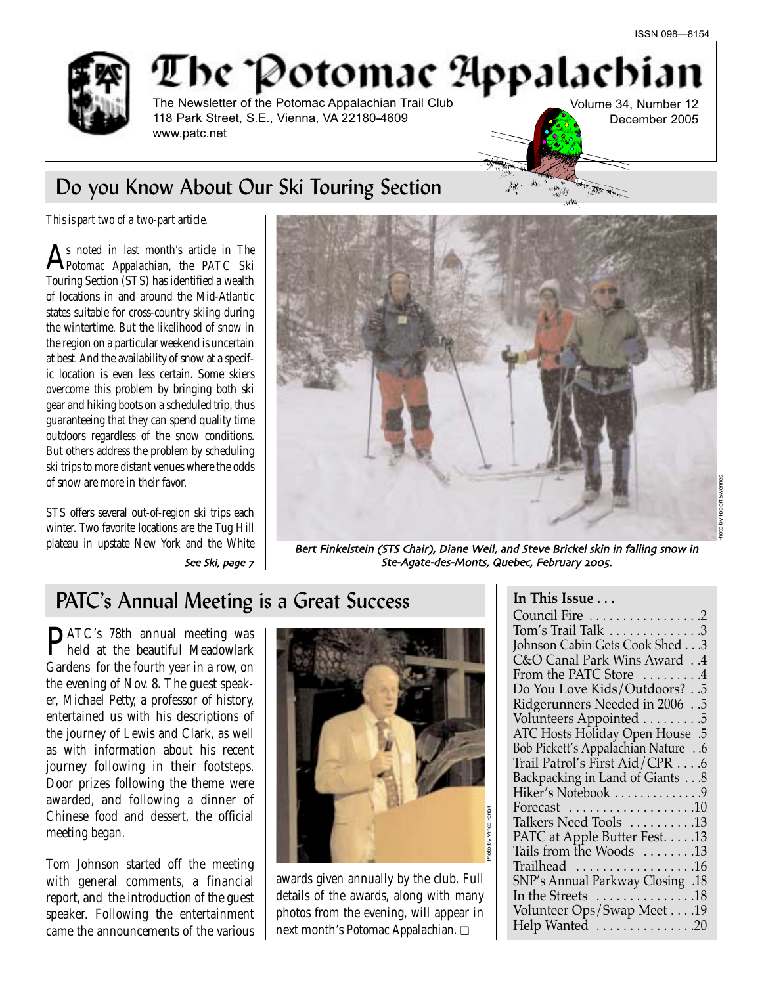

# The Potomac Appalachia The Newsletter of the Potomac Appalachian Trail Club

Volume 34, Number 12 December 2005

118 Park Street, S.E., Vienna, VA 22180-4609

## Do you Know About Our Ski Touring Section

www.patc.net

*This is part two of a two-part article.* 

As noted in last month's article in *The Potomac Appalachian*, the PATC Ski Touring Section (STS) has identified a wealth of locations in and around the Mid-Atlantic states suitable for cross-country skiing during the wintertime. But the likelihood of snow in the region on a particular weekend is uncertain at best. And the availability of snow at a specific location is even less certain. Some skiers overcome this problem by bringing both ski gear and hiking boots on a scheduled trip, thus guaranteeing that they can spend quality time outdoors regardless of the snow conditions. But others address the problem by scheduling ski trips to more distant venues where the odds of snow are more in their favor.

STS offers several out-of-region ski trips each winter. Two favorite locations are the Tug Hill



plateau in upstate New York and the White **Bert Finkelstein (STS Chair)**, Diane Weil, and Steve Brickel skin in falling snow in See Ski, page 7 | Ste-Agate-des-Monts, Quebec, February 2005.

## PATC's Annual Meeting is a Great Success

PATC's 78th annual meeting was held at the beautiful Meadowlark Gardens for the fourth year in a row, on the evening of Nov. 8. The guest speaker, Michael Petty, a professor of history, entertained us with his descriptions of the journey of Lewis and Clark, as well as with information about his recent journey following in their footsteps. Door prizes following the theme were awarded, and following a dinner of Chinese food and dessert, the official meeting began.

Tom Johnson started off the meeting with general comments, a financial report, and the introduction of the guest speaker. Following the entertainment came the announcements of the various



awards given annually by the club. Full details of the awards, along with many photos from the evening, will appear in next month's *Potomac Appalachian*. ❏

معداد من المالية.<br>موقع المالية

**THE THE** 

| Council Fire 2                                |
|-----------------------------------------------|
| Tom's Trail Talk 3                            |
| Johnson Cabin Gets Cook Shed 3                |
| C&O Canal Park Wins Award 4                   |
| From the PATC Store 4                         |
| Do You Love Kids/Outdoors?5                   |
| Ridgerunners Needed in 20065                  |
| Volunteers Appointed 5                        |
| ATC Hosts Holiday Open House .5               |
| <b>Bob Pickett's Appalachian Nature 6</b>     |
| Trail Patrol's First Aid/CPR 6                |
| Backpacking in Land of Giants 8               |
| Hiker's Notebook 9                            |
| Forecast $\dots\dots\dots\dots\dots\dots 10$  |
| Talkers Need Tools 13                         |
| PATC at Apple Butter Fest. 13                 |
| Tails from the Woods 13                       |
| Trailhead 16                                  |
| SNP's Annual Parkway Closing .18              |
| In the Streets $\dots\dots\dots\dots\dots$ 18 |
| Volunteer Ops/Swap Meet 19                    |
| Help Wanted 20                                |
|                                               |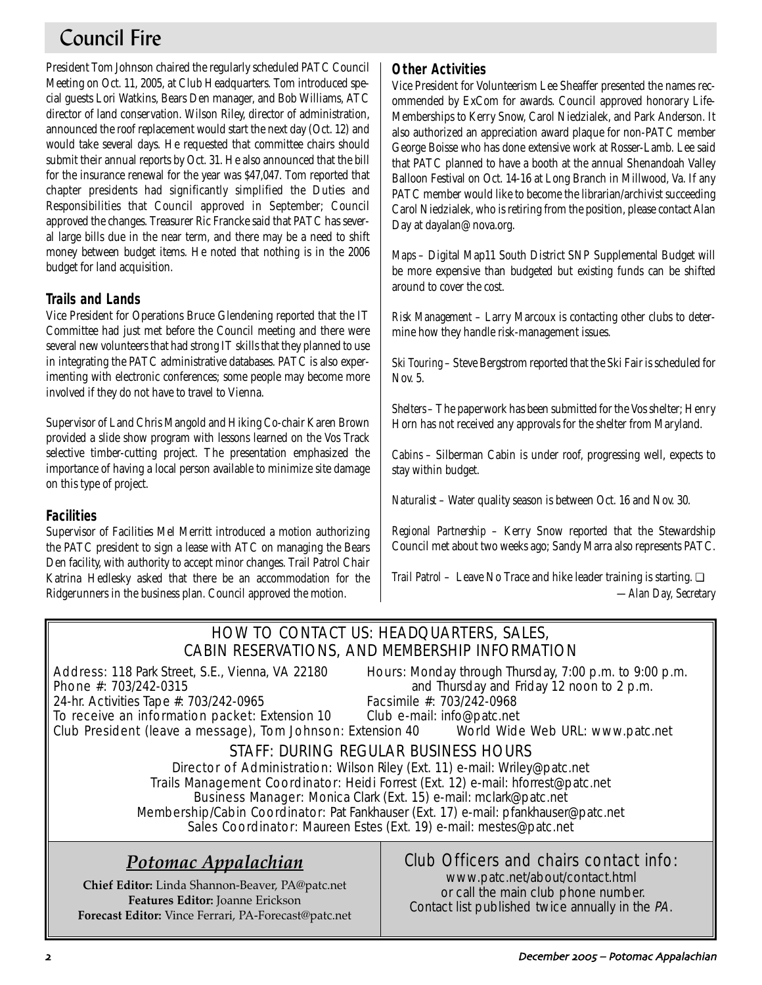# Council Fire

President Tom Johnson chaired the regularly scheduled PATC Council Meeting on Oct. 11, 2005, at Club Headquarters. Tom introduced special guests Lori Watkins, Bears Den manager, and Bob Williams, ATC director of land conservation. Wilson Riley, director of administration, announced the roof replacement would start the next day (Oct. 12) and would take several days. He requested that committee chairs should submit their annual reports by Oct. 31. He also announced that the bill for the insurance renewal for the year was \$47,047. Tom reported that chapter presidents had significantly simplified the Duties and Responsibilities that Council approved in September; Council approved the changes. Treasurer Ric Francke said that PATC has several large bills due in the near term, and there may be a need to shift money between budget items. He noted that nothing is in the 2006 budget for land acquisition.

## **Trails and Lands**

Vice President for Operations Bruce Glendening reported that the IT Committee had just met before the Council meeting and there were several new volunteers that had strong IT skills that they planned to use in integrating the PATC administrative databases. PATC is also experimenting with electronic conferences; some people may become more involved if they do not have to travel to Vienna.

Supervisor of Land Chris Mangold and Hiking Co-chair Karen Brown provided a slide show program with lessons learned on the Vos Track selective timber-cutting project. The presentation emphasized the importance of having a local person available to minimize site damage on this type of project.

## **Facilities**

Supervisor of Facilities Mel Merritt introduced a motion authorizing the PATC president to sign a lease with ATC on managing the Bears Den facility, with authority to accept minor changes. Trail Patrol Chair Katrina Hedlesky asked that there be an accommodation for the Ridgerunners in the business plan. Council approved the motion.

## **Other Activities**

Vice President for Volunteerism Lee Sheaffer presented the names recommended by ExCom for awards. Council approved honorary Life-Memberships to Kerry Snow, Carol Niedzialek, and Park Anderson. It also authorized an appreciation award plaque for non-PATC member George Boisse who has done extensive work at Rosser-Lamb. Lee said that PATC planned to have a booth at the annual Shenandoah Valley Balloon Festival on Oct. 14-16 at Long Branch in Millwood, Va. If any PATC member would like to become the librarian/archivist succeeding Carol Niedzialek, who is retiring from the position, please contact Alan Day at dayalan@nova.org.

*Maps* – Digital Map11 South District SNP Supplemental Budget will be more expensive than budgeted but existing funds can be shifted around to cover the cost.

*Risk Management* – Larry Marcoux is contacting other clubs to determine how they handle risk-management issues.

*Ski Touring* – Steve Bergstrom reported that the Ski Fair is scheduled for Nov. 5.

*Shelters* – The paperwork has been submitted for the Vos shelter; Henry Horn has not received any approvals for the shelter from Maryland.

*Cabins* – Silberman Cabin is under roof, progressing well, expects to stay within budget.

*Naturalist* – Water quality season is between Oct. 16 and Nov. 30.

*Regional Partnership* – Kerry Snow reported that the Stewardship Council met about two weeks ago; Sandy Marra also represents PATC.

*Trail Patrol* – Leave No Trace and hike leader training is starting. □ *—Alan Day, Secretary*

## HOW TO CONTACT US: HEADQUARTERS, SALES, CABIN RESERVATIONS, AND MEMBERSHIP INFORMATION

24-hr. Activities Tape #: 703/242-0965 Facsimile #: 703/242-0968

Address: 118 Park Street, S.E., Vienna, VA 22180 Hours: Monday through Thursday, 7:00 p.m. to 9:00 p.m. **Phone #:** 703/242-0315 **and Thursday and Friday 12 noon to 2 p.m.** 

To receive an information packet: Extension 10 Club e-mail: info@patc.net Club President (leave a message), Tom Johnson: Extension 40 World Wide Web URL: www.patc.net

## STAFF: DURING REGULAR BUSINESS HOURS

Director of Administration: Wilson Riley (Ext. 11) e-mail: Wriley@patc.net Trails Management Coordinator: Heidi Forrest (Ext. 12) e-mail: hforrest@patc.net Business Manager: Monica Clark (Ext. 15) e-mail: mclark@patc.net Membership/Cabin Coordinator: Pat Fankhauser (Ext. 17) e-mail: pfankhauser@patc.net Sales Coordinator: Maureen Estes (Ext. 19) e-mail: mestes@patc.net

## *Potomac Appalachian*

**Chief Editor:** Linda Shannon-Beaver, PA@patc.net **Features Editor:** Joanne Erickson **Forecast Editor:** Vince Ferrari, PA-Forecast@patc.net

## Club Officers and chairs contact info:

www.patc.net/about/contact.html or call the main club phone number. Contact list published twice annually in the PA.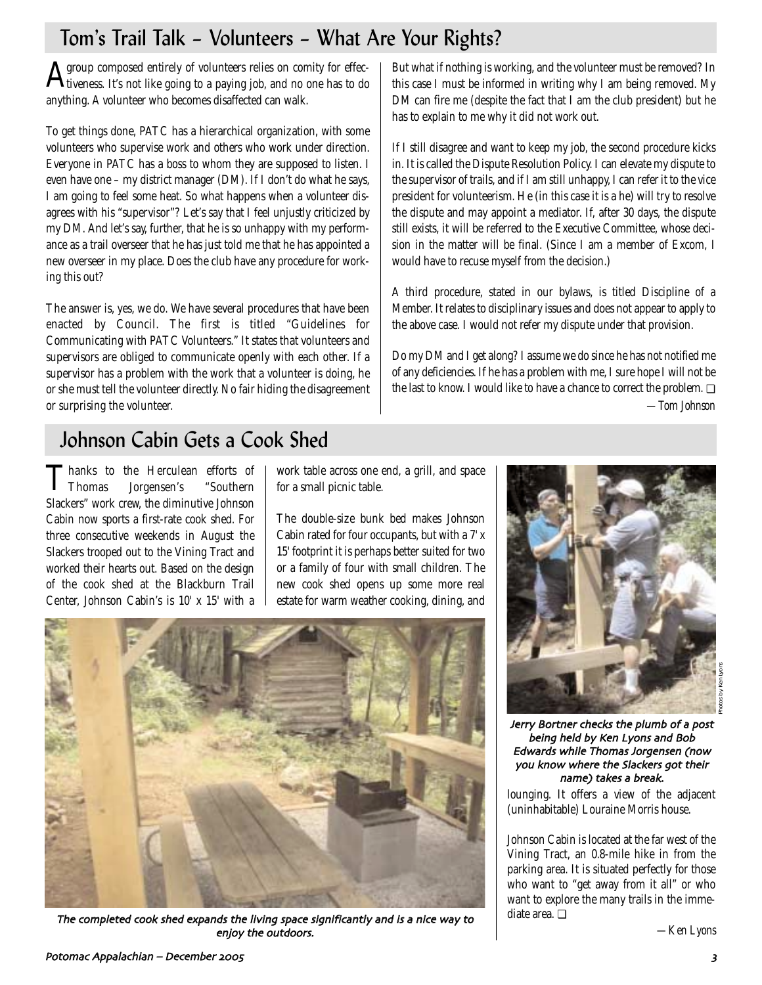# Tom's Trail Talk – Volunteers – What Are Your Rights?

 ${\bf A}$ group composed entirely of volunteers relies on comity for effectiveness. It's not like going to a paying job, and no one has to do anything. A volunteer who becomes disaffected can walk.

To get things done, PATC has a hierarchical organization, with some volunteers who supervise work and others who work under direction. Everyone in PATC has a boss to whom they are supposed to listen. I even have one – my district manager (DM). If I don't do what he says, I am going to feel some heat. So what happens when a volunteer disagrees with his "supervisor"? Let's say that I feel unjustly criticized by my DM. And let's say, further, that he is so unhappy with my performance as a trail overseer that he has just told me that he has appointed a new overseer in my place. Does the club have any procedure for working this out?

The answer is, yes, we do. We have several procedures that have been enacted by Council. The first is titled "Guidelines for Communicating with PATC Volunteers." It states that volunteers and supervisors are obliged to communicate openly with each other. If a supervisor has a problem with the work that a volunteer is doing, he or she must tell the volunteer directly. No fair hiding the disagreement or surprising the volunteer.

But what if nothing is working, and the volunteer must be removed? In this case I must be informed in writing why I am being removed. My DM can fire me (despite the fact that I am the club president) but he has to explain to me why it did not work out.

If I still disagree and want to keep my job, the second procedure kicks in. It is called the Dispute Resolution Policy. I can elevate my dispute to the supervisor of trails, and if I am still unhappy, I can refer it to the vice president for volunteerism. He (in this case it is a he) will try to resolve the dispute and may appoint a mediator. If, after 30 days, the dispute still exists, it will be referred to the Executive Committee, whose decision in the matter will be final. (Since I am a member of Excom, I would have to recuse myself from the decision.)

A third procedure, stated in our bylaws, is titled Discipline of a Member. It relates to disciplinary issues and does not appear to apply to the above case. I would not refer my dispute under that provision.

Do my DM and I get along? I assume we do since he has not notified me of any deficiencies. If he has a problem with me, I sure hope I will not be the last to know. I would like to have a chance to correct the problem. ❏ *—Tom Johnson*

# Johnson Cabin Gets a Cook Shed

**Thanks to the Herculean efforts of<br>Thomas Jorgensen's "Southern** Jorgensen's Slackers" work crew, the diminutive Johnson Cabin now sports a first-rate cook shed. For three consecutive weekends in August the Slackers trooped out to the Vining Tract and worked their hearts out. Based on the design of the cook shed at the Blackburn Trail Center, Johnson Cabin's is 10' x 15' with a

work table across one end, a grill, and space for a small picnic table.

The double-size bunk bed makes Johnson Cabin rated for four occupants, but with a 7' x 15' footprint it is perhaps better suited for two or a family of four with small children. The new cook shed opens up some more real estate for warm weather cooking, dining, and



Jerry Bortner checks the plumb of a post being held by Ken Lyons and Bob Edwards while Thomas Jorgensen (now you know where the Slackers got their name) takes a break.

lounging. It offers a view of the adjacent (uninhabitable) Louraine Morris house.

Johnson Cabin is located at the far west of the Vining Tract, an 0.8-mile hike in from the parking area. It is situated perfectly for those who want to "get away from it all" or who want to explore the many trails in the immediate area. ❏

*—Ken Lyons*



The completed cook shed expands the living space significantly and is a nice way to enjoy the outdoors.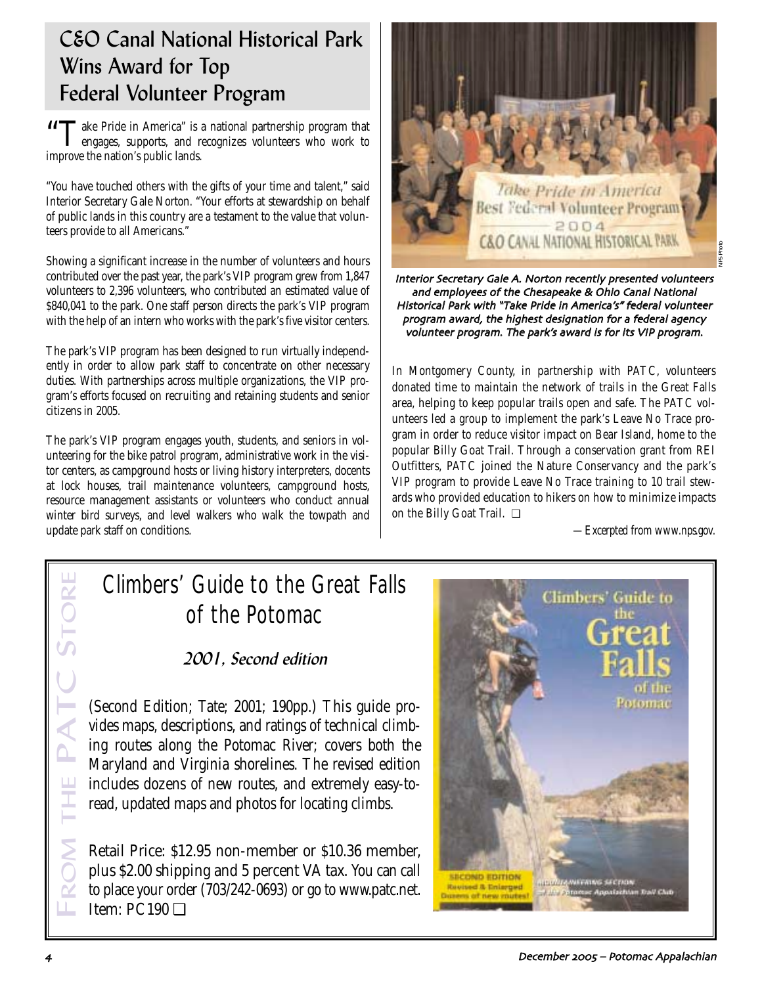## C&O Canal National Historical Park Wins Award for Top Federal Volunteer Program

**"The Pride in America" is a national partnership program that** engages, supports, and recognizes volunteers who work to improve the nation's public lands.

"You have touched others with the gifts of your time and talent," said Interior Secretary Gale Norton. "Your efforts at stewardship on behalf of public lands in this country are a testament to the value that volunteers provide to all Americans."

Showing a significant increase in the number of volunteers and hours contributed over the past year, the park's VIP program grew from 1,847 volunteers to 2,396 volunteers, who contributed an estimated value of \$840,041 to the park. One staff person directs the park's VIP program with the help of an intern who works with the park's five visitor centers.

The park's VIP program has been designed to run virtually independently in order to allow park staff to concentrate on other necessary duties. With partnerships across multiple organizations, the VIP program's efforts focused on recruiting and retaining students and senior citizens in 2005.

The park's VIP program engages youth, students, and seniors in volunteering for the bike patrol program, administrative work in the visitor centers, as campground hosts or living history interpreters, docents at lock houses, trail maintenance volunteers, campground hosts, resource management assistants or volunteers who conduct annual winter bird surveys, and level walkers who walk the towpath and update park staff on conditions.



Interior Secretary Gale A. Norton recently presented volunteers and employees of the Chesapeake & Ohio Canal National Historical Park with "Take Pride in America's" federal volunteer program award, the highest designation for a federal agency volunteer program. The park's award is for its VIP program.

In Montgomery County, in partnership with PATC, volunteers donated time to maintain the network of trails in the Great Falls area, helping to keep popular trails open and safe. The PATC volunteers led a group to implement the park's Leave No Trace program in order to reduce visitor impact on Bear Island, home to the popular Billy Goat Trail. Through a conservation grant from REI Outfitters, PATC joined the Nature Conservancy and the park's VIP program to provide Leave No Trace training to 10 trail stewards who provided education to hikers on how to minimize impacts on the Billy Goat Trail. ❏

*—Excerpted from www.nps.gov.*

# Climbers' Guide to the Great Falls of the Potomac

2001, Second edition

(Second Edition; Tate; 2001; 190pp.) This guide provides maps, descriptions, and ratings of technical climbing routes along the Potomac River; covers both the Maryland and Virginia shorelines. The revised edition includes dozens of new routes, and extremely easy-toread, updated maps and photos for locating climbs.

ROM THE PATC STORE **ROM** Retail Price: \$12.95 non-member or \$10.36 member, plus \$2.00 shipping and 5 percent VA tax. You can call to place your order (703/242-0693) or go to www.patc.net. FItem: PC190 ❏



**PRI** 

THE P.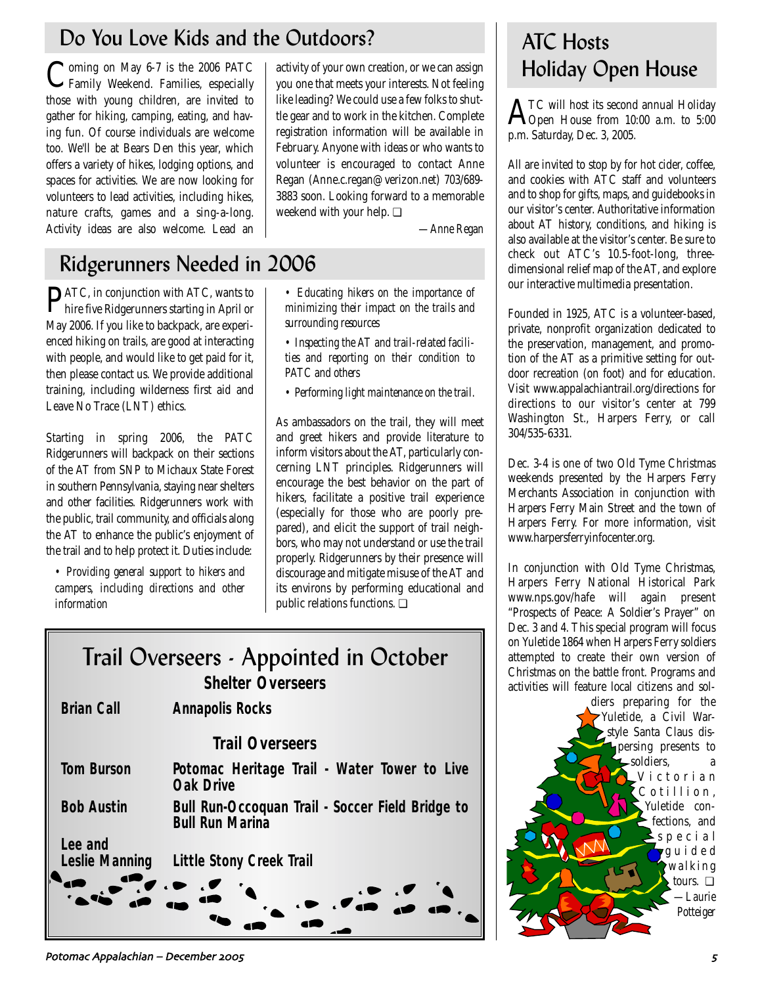# Do You Love Kids and the Outdoors?

Coming on May 6-7 is the 2006 PATC<br>Family Weekend. Families, especially those with young children, are invited to gather for hiking, camping, eating, and having fun. Of course individuals are welcome too. We'll be at Bears Den this year, which offers a variety of hikes, lodging options, and spaces for activities. We are now looking for volunteers to lead activities, including hikes, nature crafts, games and a sing-a-long. Activity ideas are also welcome. Lead an

activity of your own creation, or we can assign you one that meets your interests. Not feeling like leading? We could use a few folks to shuttle gear and to work in the kitchen. Complete registration information will be available in February. Anyone with ideas or who wants to volunteer is encouraged to contact Anne Regan (Anne.c.regan@verizon.net) 703/689- 3883 soon. Looking forward to a memorable weekend with your help. **□** 

*—Anne Regan*

# Ridgerunners Needed in 2006

PATC, in conjunction with ATC, wants to hire five Ridgerunners starting in April or May 2006. If you like to backpack, are experienced hiking on trails, are good at interacting with people, and would like to get paid for it, then please contact us. We provide additional training, including wilderness first aid and Leave No Trace (LNT) ethics.

Starting in spring 2006, the PATC Ridgerunners will backpack on their sections of the AT from SNP to Michaux State Forest in southern Pennsylvania, staying near shelters and other facilities. Ridgerunners work with the public, trail community, and officials along the AT to enhance the public's enjoyment of the trail and to help protect it. Duties include:

*• Providing general support to hikers and campers, including directions and other information* 

*• Educating hikers on the importance of minimizing their impact on the trails and surrounding resources* 

*• Inspecting the AT and trail-related facilities and reporting on their condition to PATC and others* 

*• Performing light maintenance on the trail.* 

As ambassadors on the trail, they will meet and greet hikers and provide literature to inform visitors about the AT, particularly concerning LNT principles. Ridgerunners will encourage the best behavior on the part of hikers, facilitate a positive trail experience (especially for those who are poorly prepared), and elicit the support of trail neighbors, who may not understand or use the trail properly. Ridgerunners by their presence will discourage and mitigate misuse of the AT and its environs by performing educational and public relations functions. ❏

# Trail Overseers - Appointed in October *Shelter Overseers*

# **Brian Call Annapolis Rocks** *Trail Overseers* **Tom Burson Potomac Heritage Trail - Water Tower to Live Oak Drive Bob Austin Bull Run-Occoquan Trail - Soccer Field Bridge to Bull Run Marina Lee and Little Stony Creek Trail**

### Potomac Appalachian – December \$%%& &

# ATC Hosts Holiday Open House

 $\rm A^{\tau_C}$  will host its second annual Holiday<br>Open House from 10:00 a.m. to 5:00 p.m. Saturday, Dec. 3, 2005.

All are invited to stop by for hot cider, coffee, and cookies with ATC staff and volunteers and to shop for gifts, maps, and guidebooks in our visitor's center. Authoritative information about AT history, conditions, and hiking is also available at the visitor's center. Be sure to check out ATC's 10.5-foot-long, threedimensional relief map of the AT, and explore our interactive multimedia presentation.

Founded in 1925, ATC is a volunteer-based, private, nonprofit organization dedicated to the preservation, management, and promotion of the AT as a primitive setting for outdoor recreation (on foot) and for education. Visit www.appalachiantrail.org/directions for directions to our visitor's center at 799 Washington St., Harpers Ferry, or call 304/535-6331.

Dec. 3-4 is one of two Old Tyme Christmas weekends presented by the Harpers Ferry Merchants Association in conjunction with Harpers Ferry Main Street and the town of Harpers Ferry. For more information, visit www.harpersferryinfocenter.org.

In conjunction with Old Tyme Christmas, Harpers Ferry National Historical Park www.nps.gov/hafe will again present "Prospects of Peace: A Soldier's Prayer" on Dec. 3 and 4. This special program will focus on Yuletide 1864 when Harpers Ferry soldiers attempted to create their own version of Christmas on the battle front. Programs and activities will feature local citizens and sol-

diers preparing for the Yuletide, a Civil Warstyle Santa Claus dispersing presents to  $\mathsf{\mathsf{L}}$ soldiers, Victorian Cotillion, Yuletide confections, and special guided walking tours. ❏ *—Laurie Potteiger*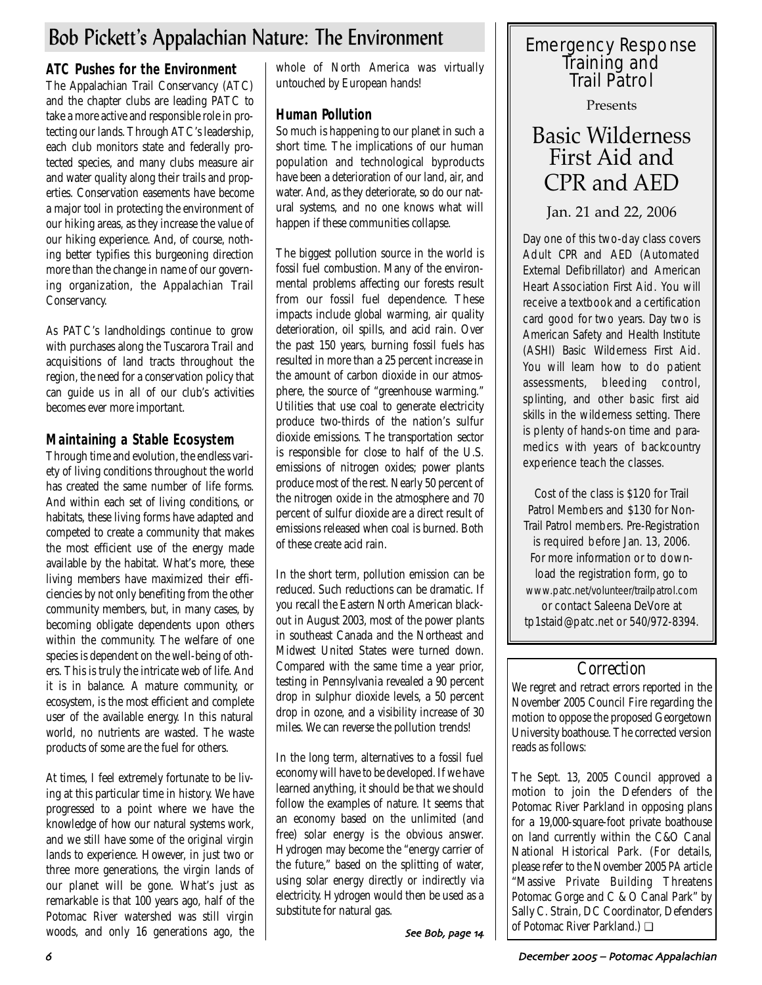## Bob Pickett's Appalachian Nature: The Environment

## **ATC Pushes for the Environment**

The Appalachian Trail Conservancy (ATC) and the chapter clubs are leading PATC to take a more active and responsible role in protecting our lands. Through ATC's leadership, each club monitors state and federally protected species, and many clubs measure air and water quality along their trails and properties. Conservation easements have become a major tool in protecting the environment of our hiking areas, as they increase the value of our hiking experience. And, of course, nothing better typifies this burgeoning direction more than the change in name of our governing organization, the Appalachian Trail Conservancy.

As PATC's landholdings continue to grow with purchases along the Tuscarora Trail and acquisitions of land tracts throughout the region, the need for a conservation policy that can guide us in all of our club's activities becomes ever more important.

## **Maintaining a Stable Ecosystem**

Through time and evolution, the endless variety of living conditions throughout the world has created the same number of life forms. And within each set of living conditions, or habitats, these living forms have adapted and competed to create a community that makes the most efficient use of the energy made available by the habitat. What's more, these living members have maximized their efficiencies by not only benefiting from the other community members, but, in many cases, by becoming obligate dependents upon others within the community. The welfare of one species is dependent on the well-being of others. This is truly the intricate web of life. And it is in balance. A mature community, or ecosystem, is the most efficient and complete user of the available energy. In this natural world, no nutrients are wasted. The waste products of some are the fuel for others.

At times, I feel extremely fortunate to be living at this particular time in history. We have progressed to a point where we have the knowledge of how our natural systems work, and we still have some of the original virgin lands to experience. However, in just two or three more generations, the virgin lands of our planet will be gone. What's just as remarkable is that 100 years ago, half of the Potomac River watershed was still virgin woods, and only 16 generations ago, the whole of North America was virtually untouched by European hands!

## **Human Pollution**

So much is happening to our planet in such a short time. The implications of our human population and technological byproducts have been a deterioration of our land, air, and water. And, as they deteriorate, so do our natural systems, and no one knows what will happen if these communities collapse.

The biggest pollution source in the world is fossil fuel combustion. Many of the environmental problems affecting our forests result from our fossil fuel dependence. These impacts include global warming, air quality deterioration, oil spills, and acid rain. Over the past 150 years, burning fossil fuels has resulted in more than a 25 percent increase in the amount of carbon dioxide in our atmosphere, the source of "greenhouse warming." Utilities that use coal to generate electricity produce two-thirds of the nation's sulfur dioxide emissions. The transportation sector is responsible for close to half of the U.S. emissions of nitrogen oxides; power plants produce most of the rest. Nearly 50 percent of the nitrogen oxide in the atmosphere and 70 percent of sulfur dioxide are a direct result of emissions released when coal is burned. Both of these create acid rain.

In the short term, pollution emission can be reduced. Such reductions can be dramatic. If you recall the Eastern North American blackout in August 2003, most of the power plants in southeast Canada and the Northeast and Midwest United States were turned down. Compared with the same time a year prior, testing in Pennsylvania revealed a 90 percent drop in sulphur dioxide levels, a 50 percent drop in ozone, and a visibility increase of 30 miles. We can reverse the pollution trends!

In the long term, alternatives to a fossil fuel economy will have to be developed. If we have learned anything, it should be that we should follow the examples of nature. It seems that an economy based on the unlimited (and free) solar energy is the obvious answer. Hydrogen may become the "energy carrier of the future," based on the splitting of water, using solar energy directly or indirectly via electricity. Hydrogen would then be used as a substitute for natural gas.

# Emergency Response Training and Trail Patrol

Presents

## Basic Wilderness First Aid and CPR and AED

Jan. 21 and 22, 2006

Day one of this two-day class covers Adult CPR and AED (Automated External Defibrillator) and American Heart Association First Aid. You will receive a textbook and a certification card good for two years. Day two is American Safety and Health Institute (ASHI) Basic Wilderness First Aid. You will learn how to do patient assessments, bleeding control, splinting, and other basic first aid skills in the wilderness setting. There is plenty of hands-on time and paramedics with years of backcountry experience teach the classes.

Cost of the class is \$120 for Trail Patrol Members and \$130 for Non-Trail Patrol members. Pre-Registration is required before Jan. 13, 2006. For more information or to download the registration form, go to www.patc.net/volunteer/trailpatrol.com or contact Saleena DeVore at tp1staid@patc.net or 540/972-8394.

## **Correction**

We regret and retract errors reported in the November 2005 Council Fire regarding the motion to oppose the proposed Georgetown University boathouse. The corrected version reads as follows:

The Sept. 13, 2005 Council approved a motion to join the Defenders of the Potomac River Parkland in opposing plans for a 19,000-square-foot private boathouse on land currently within the C&O Canal National Historical Park. (For details, please refer to the November 2005 *PA* article "Massive Private Building Threatens Potomac Gorge and C & O Canal Park" by Sally C. Strain, DC Coordinator, Defenders See Bob, page  $\mathbf{14}$  | | of Potomac River Parkland.)  $\Box$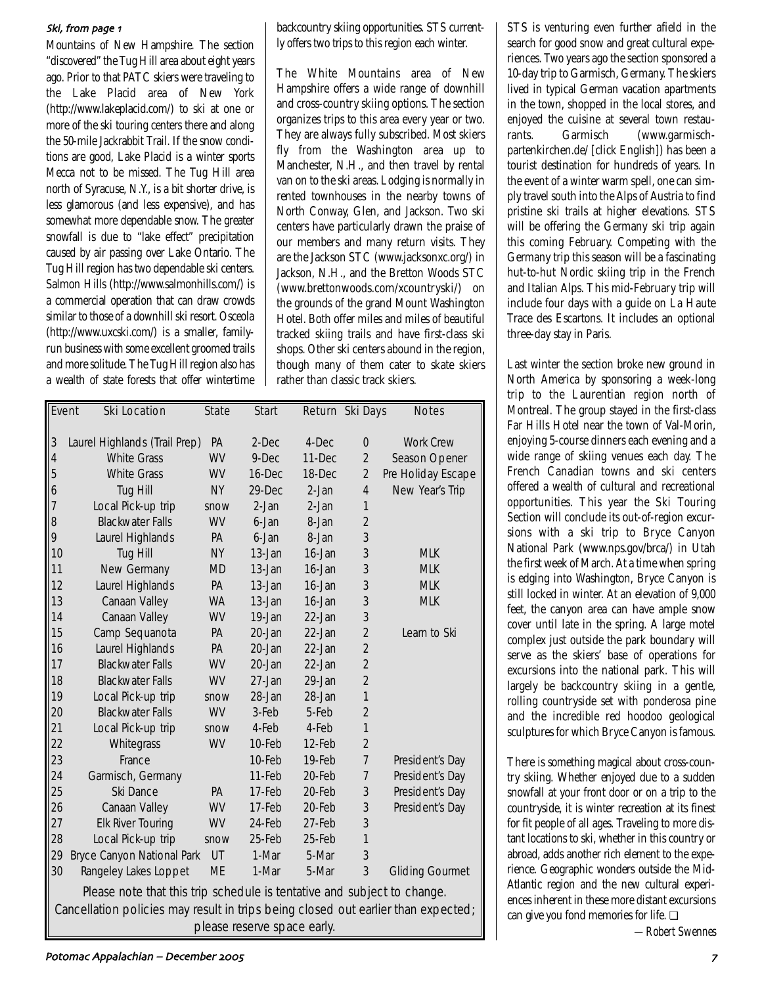#### Ski, from page 1

Mountains of New Hampshire. The section "discovered" the Tug Hill area about eight years ago. Prior to that PATC skiers were traveling to the Lake Placid area of New York (http://www.lakeplacid.com/) to ski at one or more of the ski touring centers there and along the 50-mile Jackrabbit Trail. If the snow conditions are good, Lake Placid is a winter sports Mecca not to be missed. The Tug Hill area north of Syracuse, N.Y., is a bit shorter drive, is less glamorous (and less expensive), and has somewhat more dependable snow. The greater snowfall is due to "lake effect" precipitation caused by air passing over Lake Ontario. The Tug Hill region has two dependable ski centers. Salmon Hills (http://www.salmonhills.com/) is a commercial operation that can draw crowds similar to those of a downhill ski resort. Osceola (http://www.uxcski.com/) is a smaller, familyrun business with some excellent groomed trails and more solitude. The Tug Hill region also has a wealth of state forests that offer wintertime backcountry skiing opportunities. STS currently offers two trips to this region each winter.

The White Mountains area of New Hampshire offers a wide range of downhill and cross-country skiing options. The section organizes trips to this area every year or two. They are always fully subscribed. Most skiers fly from the Washington area up to Manchester, N.H., and then travel by rental van on to the ski areas. Lodging is normally in rented townhouses in the nearby towns of North Conway, Glen, and Jackson. Two ski centers have particularly drawn the praise of our members and many return visits. They are the Jackson STC (www.jacksonxc.org/) in Jackson, N.H., and the Bretton Woods STC (www.brettonwoods.com/xcountryski/) on the grounds of the grand Mount Washington Hotel. Both offer miles and miles of beautiful tracked skiing trails and have first-class ski shops. Other ski centers abound in the region, though many of them cater to skate skiers rather than classic track skiers.

|                                                                         | <b>Ski Location</b><br>Event                                                      | <b>State</b> | <b>Start</b> |         | Return Ski Days | <b>Notes</b>           |  |  |
|-------------------------------------------------------------------------|-----------------------------------------------------------------------------------|--------------|--------------|---------|-----------------|------------------------|--|--|
|                                                                         |                                                                                   |              |              |         |                 |                        |  |  |
| $\mathfrak{Z}$                                                          | Laurel Highlands (Trail Prep)                                                     | <b>PA</b>    | 2-Dec        | 4-Dec   | $\mathbf 0$     | <b>Work Crew</b>       |  |  |
| $\overline{4}$                                                          | <b>White Grass</b>                                                                | <b>WV</b>    | 9-Dec        | 11-Dec  | $\overline{2}$  | Season Opener          |  |  |
| 5                                                                       | <b>White Grass</b>                                                                | <b>WV</b>    | 16-Dec       | 18-Dec  | $\overline{2}$  | Pre Holiday Escape     |  |  |
| 6                                                                       | Tug Hill                                                                          | <b>NY</b>    | 29-Dec       | $2-Jan$ | $\overline{4}$  | New Year's Trip        |  |  |
| 7                                                                       | Local Pick-up trip                                                                | snow         | 2-Jan        | $2-Jan$ | 1               |                        |  |  |
| 8                                                                       | <b>Blackwater Falls</b>                                                           | <b>WV</b>    | 6-Jan        | 8-Jan   | $\overline{2}$  |                        |  |  |
| 9                                                                       | Laurel Highlands                                                                  | PA           | 6-Jan        | 8-Jan   | 3               |                        |  |  |
| 10                                                                      | Tug Hill                                                                          | <b>NY</b>    | 13-Jan       | 16-Jan  | 3               | <b>MLK</b>             |  |  |
| 11                                                                      | New Germany                                                                       | <b>MD</b>    | 13-Jan       | 16-Jan  | 3               | <b>MLK</b>             |  |  |
| 12                                                                      | Laurel Highlands                                                                  | PA           | 13-Jan       | 16-Jan  | 3               | <b>MLK</b>             |  |  |
| 13                                                                      | Canaan Valley                                                                     | <b>WA</b>    | 13-Jan       | 16-Jan  | 3               | <b>MLK</b>             |  |  |
| 14                                                                      | Canaan Valley                                                                     | <b>WV</b>    | 19-Jan       | 22-Jan  | 3               |                        |  |  |
| 15                                                                      | Camp Sequanota                                                                    | PA           | 20-Jan       | 22-Jan  | $\overline{2}$  | Learn to Ski           |  |  |
| 16                                                                      | Laurel Highlands                                                                  | PA           | 20-Jan       | 22-Jan  | $\overline{2}$  |                        |  |  |
| 17                                                                      | <b>Blackwater Falls</b>                                                           | <b>WV</b>    | 20-Jan       | 22-Jan  | $\overline{2}$  |                        |  |  |
| 18                                                                      | <b>Blackwater Falls</b>                                                           | <b>WV</b>    | 27-Jan       | 29-Jan  | $\overline{2}$  |                        |  |  |
| 19                                                                      | Local Pick-up trip                                                                | snow         | 28-Jan       | 28-Jan  | $\mathbf{1}$    |                        |  |  |
| 20                                                                      | <b>Blackwater Falls</b>                                                           | <b>WV</b>    | 3-Feb        | 5-Feb   | $\overline{2}$  |                        |  |  |
| 21                                                                      | Local Pick-up trip                                                                | snow         | 4-Feb        | 4-Feb   | $\overline{1}$  |                        |  |  |
| 22                                                                      | Whitegrass                                                                        | WV           | 10-Feb       | 12-Feb  | $\overline{2}$  |                        |  |  |
| 23                                                                      | France                                                                            |              | 10-Feb       | 19-Feb  | $\overline{7}$  | President's Day        |  |  |
| 24                                                                      | Garmisch, Germany                                                                 |              | 11-Feb       | 20-Feb  | $\overline{7}$  | President's Day        |  |  |
| 25                                                                      | Ski Dance                                                                         | PA           | 17-Feb       | 20-Feb  | 3               | President's Day        |  |  |
| 26                                                                      | Canaan Valley                                                                     | <b>WV</b>    | 17-Feb       | 20-Feb  | 3               | President's Day        |  |  |
| 27                                                                      | <b>Elk River Touring</b>                                                          | <b>WV</b>    | 24-Feb       | 27-Feb  | 3               |                        |  |  |
| 28                                                                      | Local Pick-up trip                                                                | snow         | 25-Feb       | 25-Feb  | $\mathbf{1}$    |                        |  |  |
| 29                                                                      | <b>Bryce Canyon National Park</b>                                                 | UT           | 1-Mar        | 5-Mar   | 3               |                        |  |  |
| 30                                                                      | Rangeley Lakes Loppet                                                             | <b>ME</b>    | 1-Mar        | 5-Mar   | 3               | <b>Gliding Gourmet</b> |  |  |
| Please note that this trip schedule is tentative and subject to change. |                                                                                   |              |              |         |                 |                        |  |  |
|                                                                         | Cancellation policies may result in trips being closed out earlier than expected; |              |              |         |                 |                        |  |  |

please reserve space early.

STS is venturing even further afield in the search for good snow and great cultural experiences. Two years ago the section sponsored a 10-day trip to Garmisch, Germany. The skiers lived in typical German vacation apartments in the town, shopped in the local stores, and enjoyed the cuisine at several town restaurants. Garmisch (www.garmischpartenkirchen.de/ [click English]) has been a tourist destination for hundreds of years. In the event of a winter warm spell, one can simply travel south into the Alps of Austria to find pristine ski trails at higher elevations. STS will be offering the Germany ski trip again this coming February. Competing with the Germany trip this season will be a fascinating hut-to-hut Nordic skiing trip in the French and Italian Alps. This mid-February trip will include four days with a guide on La Haute Trace des Escartons. It includes an optional three-day stay in Paris.

Last winter the section broke new ground in North America by sponsoring a week-long trip to the Laurentian region north of Montreal. The group stayed in the first-class Far Hills Hotel near the town of Val-Morin, enjoying 5-course dinners each evening and a wide range of skiing venues each day. The French Canadian towns and ski centers offered a wealth of cultural and recreational opportunities. This year the Ski Touring Section will conclude its out-of-region excursions with a ski trip to Bryce Canyon National Park (www.nps.gov/brca/) in Utah the first week of March. At a time when spring is edging into Washington, Bryce Canyon is still locked in winter. At an elevation of 9,000 feet, the canyon area can have ample snow cover until late in the spring. A large motel complex just outside the park boundary will serve as the skiers' base of operations for excursions into the national park. This will largely be backcountry skiing in a gentle, rolling countryside set with ponderosa pine and the incredible red hoodoo geological sculptures for which Bryce Canyon is famous.

There is something magical about cross-country skiing. Whether enjoyed due to a sudden snowfall at your front door or on a trip to the countryside, it is winter recreation at its finest for fit people of all ages. Traveling to more distant locations to ski, whether in this country or abroad, adds another rich element to the experience. Geographic wonders outside the Mid-Atlantic region and the new cultural experiences inherent in these more distant excursions can give you fond memories for life. ❏

*—Robert Swennes*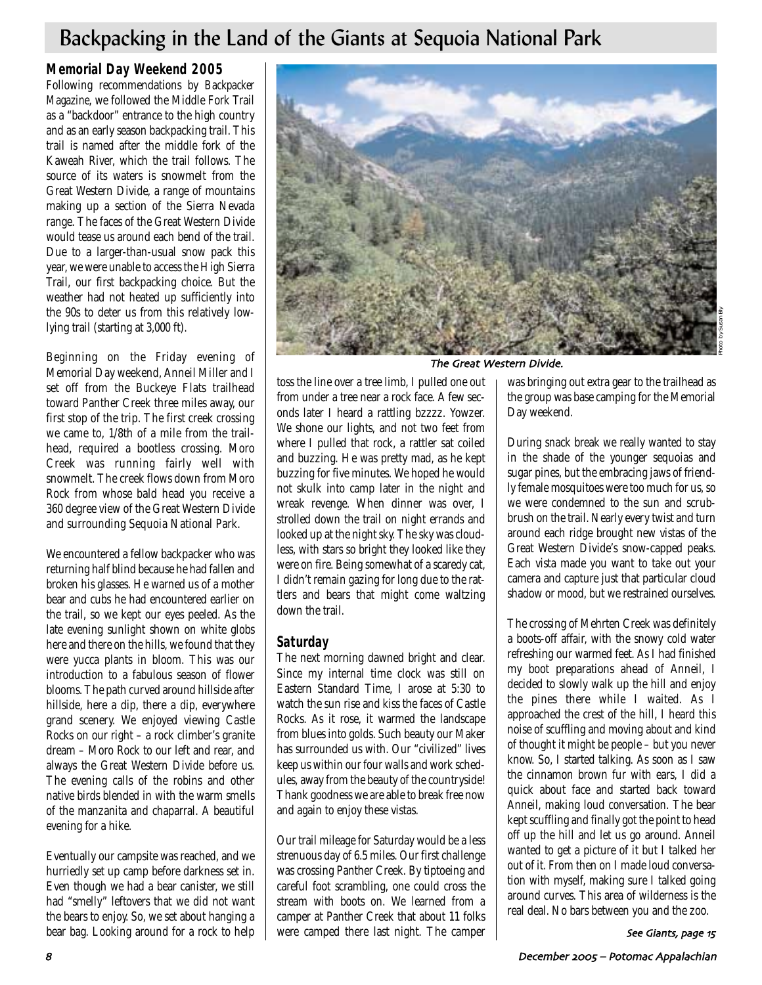## Backpacking in the Land of the Giants at Sequoia National Park

### **Memorial Day Weekend 2005**

Following recommendations by *Backpacker Magazine*, we followed the Middle Fork Trail as a "backdoor" entrance to the high country and as an early season backpacking trail. This trail is named after the middle fork of the Kaweah River, which the trail follows. The source of its waters is snowmelt from the Great Western Divide, a range of mountains making up a section of the Sierra Nevada range. The faces of the Great Western Divide would tease us around each bend of the trail. Due to a larger-than-usual snow pack this year, we were unable to access the High Sierra Trail, our first backpacking choice. But the weather had not heated up sufficiently into the 90s to deter us from this relatively lowlying trail (starting at 3,000 ft).

Beginning on the Friday evening of Memorial Day weekend, Anneil Miller and I set off from the Buckeye Flats trailhead toward Panther Creek three miles away, our first stop of the trip. The first creek crossing we came to, 1/8th of a mile from the trailhead, required a bootless crossing. Moro Creek was running fairly well with snowmelt. The creek flows down from Moro Rock from whose bald head you receive a 360 degree view of the Great Western Divide and surrounding Sequoia National Park.

We encountered a fellow backpacker who was returning half blind because he had fallen and broken his glasses. He warned us of a mother bear and cubs he had encountered earlier on the trail, so we kept our eyes peeled. As the late evening sunlight shown on white globs here and there on the hills, we found that they were yucca plants in bloom. This was our introduction to a fabulous season of flower blooms. The path curved around hillside after hillside, here a dip, there a dip, everywhere grand scenery. We enjoyed viewing Castle Rocks on our right – a rock climber's granite dream – Moro Rock to our left and rear, and always the Great Western Divide before us. The evening calls of the robins and other native birds blended in with the warm smells of the manzanita and chaparral. A beautiful evening for a hike.

Eventually our campsite was reached, and we hurriedly set up camp before darkness set in. Even though we had a bear canister, we still had "smelly" leftovers that we did not want the bears to enjoy. So, we set about hanging a bear bag. Looking around for a rock to help



The Great Western Divide.

toss the line over a tree limb, I pulled one out from under a tree near a rock face. A few seconds later I heard a rattling bzzzz. Yowzer. We shone our lights, and not two feet from where I pulled that rock, a rattler sat coiled and buzzing. He was pretty mad, as he kept buzzing for five minutes. We hoped he would not skulk into camp later in the night and wreak revenge. When dinner was over, I strolled down the trail on night errands and looked up at the night sky. The sky was cloudless, with stars so bright they looked like they were on fire. Being somewhat of a scaredy cat, I didn't remain gazing for long due to the rattlers and bears that might come waltzing down the trail.

### **Saturday**

The next morning dawned bright and clear. Since my internal time clock was still on Eastern Standard Time, I arose at 5:30 to watch the sun rise and kiss the faces of Castle Rocks. As it rose, it warmed the landscape from blues into golds. Such beauty our Maker has surrounded us with. Our "civilized" lives keep us within our four walls and work schedules, away from the beauty of the countryside! Thank goodness we are able to break free now and again to enjoy these vistas.

Our trail mileage for Saturday would be a less strenuous day of 6.5 miles. Our first challenge was crossing Panther Creek. By tiptoeing and careful foot scrambling, one could cross the stream with boots on. We learned from a camper at Panther Creek that about 11 folks were camped there last night. The camper

was bringing out extra gear to the trailhead as the group was base camping for the Memorial Day weekend.

During snack break we really wanted to stay in the shade of the younger sequoias and sugar pines, but the embracing jaws of friendly female mosquitoes were too much for us, so we were condemned to the sun and scrubbrush on the trail. Nearly every twist and turn around each ridge brought new vistas of the Great Western Divide's snow-capped peaks. Each vista made you want to take out your camera and capture just that particular cloud shadow or mood, but we restrained ourselves.

The crossing of Mehrten Creek was definitely a boots-off affair, with the snowy cold water refreshing our warmed feet. As I had finished my boot preparations ahead of Anneil, I decided to slowly walk up the hill and enjoy the pines there while I waited. As I approached the crest of the hill, I heard this noise of scuffling and moving about and kind of thought it might be people – but you never know. So, I started talking. As soon as I saw the cinnamon brown fur with ears, I did a quick about face and started back toward Anneil, making loud conversation. The bear kept scuffling and finally got the point to head off up the hill and let us go around. Anneil wanted to get a picture of it but I talked her out of it. From then on I made loud conversation with myself, making sure I talked going around curves. This area of wilderness is the real deal. No bars between you and the zoo.

See Giants, page 15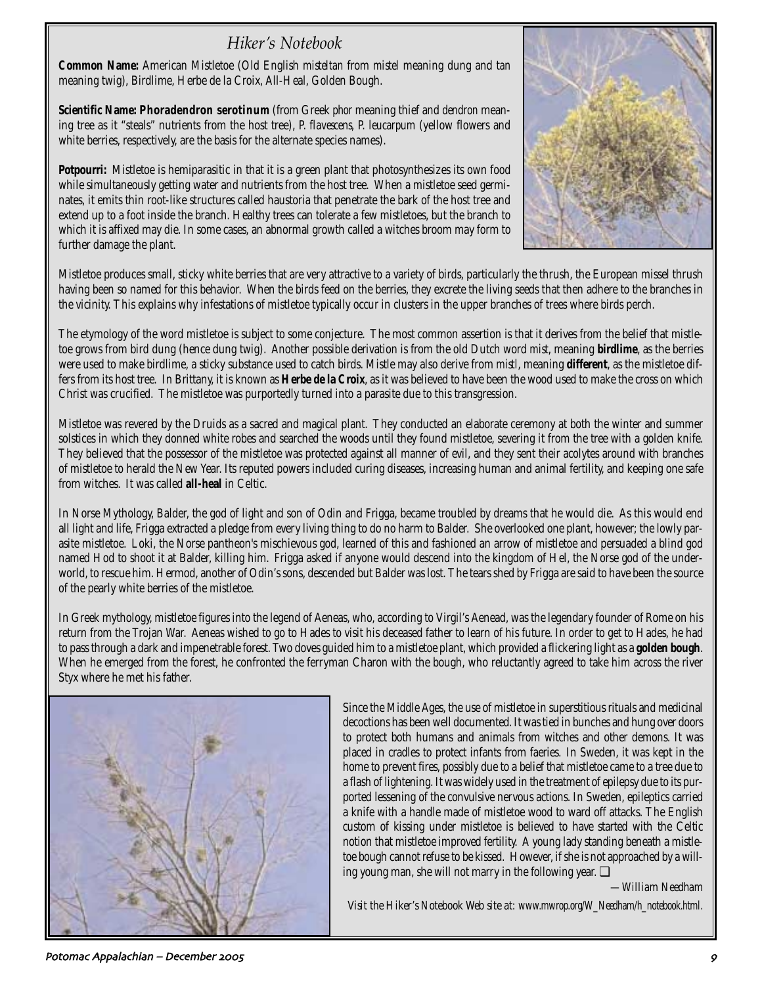## *Hiker's Notebook*

**Common Name:** American Mistletoe (Old English *misteltan* from *mistel* meaning dung and *tan* meaning twig), Birdlime, Herbe de la Croix, All-Heal, Golden Bough.

**Scientific Name: Phoradendron serotinum** (from Greek *phor* meaning thief and *dendron* meaning tree as it "steals" nutrients from the host tree), P. *flavescens*, P. *leucarpum* (yellow flowers and white berries, respectively, are the basis for the alternate species names).

**Potpourri:** Mistletoe is hemiparasitic in that it is a green plant that photosynthesizes its own food while simultaneously getting water and nutrients from the host tree. When a mistletoe seed germinates, it emits thin root-like structures called haustoria that penetrate the bark of the host tree and extend up to a foot inside the branch. Healthy trees can tolerate a few mistletoes, but the branch to which it is affixed may die. In some cases, an abnormal growth called a witches broom may form to further damage the plant.



Mistletoe produces small, sticky white berries that are very attractive to a variety of birds, particularly the thrush, the European missel thrush having been so named for this behavior. When the birds feed on the berries, they excrete the living seeds that then adhere to the branches in the vicinity. This explains why infestations of mistletoe typically occur in clusters in the upper branches of trees where birds perch.

The etymology of the word mistletoe is subject to some conjecture. The most common assertion is that it derives from the belief that mistletoe grows from bird dung (hence dung twig). Another possible derivation is from the old Dutch word *mist*, meaning **birdlime**, as the berries were used to make birdlime, a sticky substance used to catch birds. Mistle may also derive from *mistl*, meaning **different**, as the mistletoe differs from its host tree. In Brittany, it is known as **Herbe de la Croix**, as it was believed to have been the wood used to make the cross on which Christ was crucified. The mistletoe was purportedly turned into a parasite due to this transgression.

Mistletoe was revered by the Druids as a sacred and magical plant. They conducted an elaborate ceremony at both the winter and summer solstices in which they donned white robes and searched the woods until they found mistletoe, severing it from the tree with a golden knife. They believed that the possessor of the mistletoe was protected against all manner of evil, and they sent their acolytes around with branches of mistletoe to herald the New Year. Its reputed powers included curing diseases, increasing human and animal fertility, and keeping one safe from witches. It was called **all-heal** in Celtic.

In Norse Mythology, Balder, the god of light and son of Odin and Frigga, became troubled by dreams that he would die. As this would end all light and life, Frigga extracted a pledge from every living thing to do no harm to Balder. She overlooked one plant, however; the lowly parasite mistletoe. Loki, the Norse pantheon's mischievous god, learned of this and fashioned an arrow of mistletoe and persuaded a blind god named Hod to shoot it at Balder, killing him. Frigga asked if anyone would descend into the kingdom of Hel, the Norse god of the underworld, to rescue him. Hermod, another of Odin's sons, descended but Balder was lost. The tears shed by Frigga are said to have been the source of the pearly white berries of the mistletoe.

In Greek mythology, mistletoe figures into the legend of Aeneas, who, according to Virgil's Aenead, was the legendary founder of Rome on his return from the Trojan War. Aeneas wished to go to Hades to visit his deceased father to learn of his future. In order to get to Hades, he had to pass through a dark and impenetrable forest. Two doves guided him to a mistletoe plant, which provided a flickering light as a **golden bough**. When he emerged from the forest, he confronted the ferryman Charon with the bough, who reluctantly agreed to take him across the river Styx where he met his father.



Since the Middle Ages, the use of mistletoe in superstitious rituals and medicinal decoctions has been well documented. It was tied in bunches and hung over doors to protect both humans and animals from witches and other demons. It was placed in cradles to protect infants from faeries. In Sweden, it was kept in the home to prevent fires, possibly due to a belief that mistletoe came to a tree due to a flash of lightening. It was widely used in the treatment of epilepsy due to its purported lessening of the convulsive nervous actions. In Sweden, epileptics carried a knife with a handle made of mistletoe wood to ward off attacks. The English custom of kissing under mistletoe is believed to have started with the Celtic notion that mistletoe improved fertility. A young lady standing beneath a mistletoe bough cannot refuse to be kissed. However, if she is not approached by a willing young man, she will not marry in the following year. ❏

*—William Needham*

*Visit the Hiker's Notebook Web site at: www.mwrop.org/W\_Needham/h\_notebook.html.*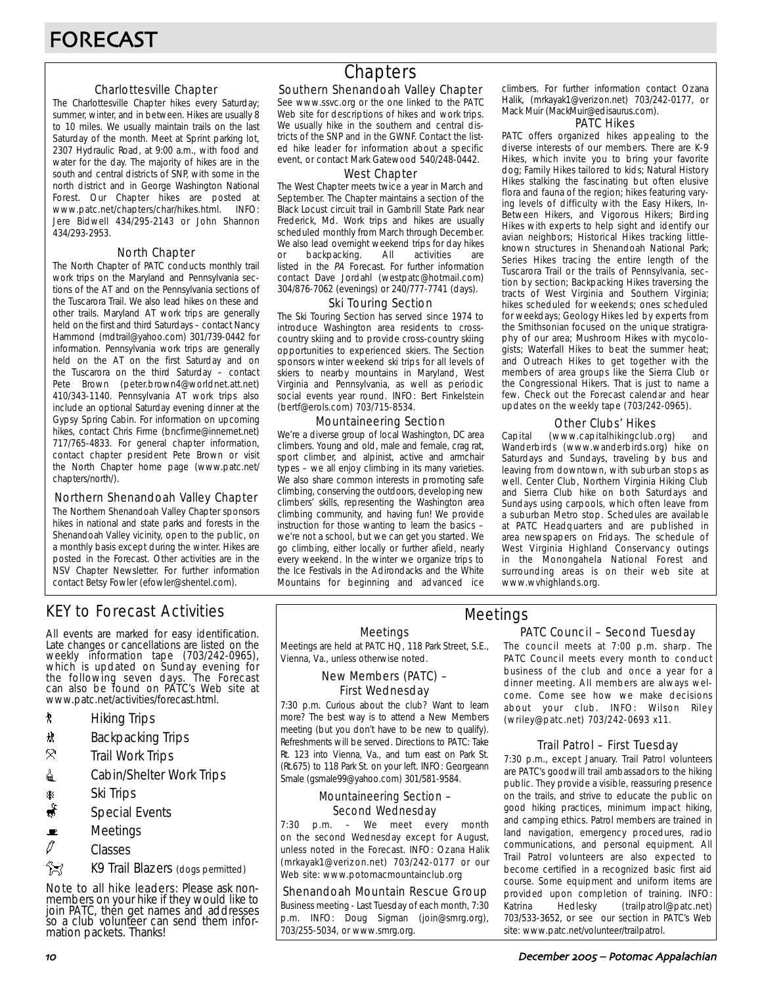#### Charlottesville Chapter

The Charlottesville Chapter hikes every Saturday; summer, winter, and in between. Hikes are usually 8 to 10 miles. We usually maintain trails on the last Saturday of the month. Meet at Sprint parking lot, 2307 Hydraulic Road, at 9:00 a.m., with food and water for the day. The majority of hikes are in the south and central districts of SNP, with some in the north district and in George Washington National Forest. Our Chapter hikes are posted at www.patc.net/chapters/char/hikes.html. INFO: Jere Bidwell 434/295-2143 or John Shannon 434/293-2953.

#### North Chapter

The North Chapter of PATC conducts monthly trail work trips on the Maryland and Pennsylvania sections of the AT and on the Pennsylvania sections of the Tuscarora Trail. We also lead hikes on these and other trails. Maryland AT work trips are generally held on the first and third Saturdays – contact Nancy Hammond (mdtrail@yahoo.com) 301/739-0442 for information. Pennsylvania work trips are generally held on the AT on the first Saturday and on the Tuscarora on the third Saturday – contact Pete Brown (peter.brown4@worldnet.att.net) 410/343-1140. Pennsylvania AT work trips also include an optional Saturday evening dinner at the Gypsy Spring Cabin. For information on upcoming hikes, contact Chris Firme (bncfirme@innernet.net) 717/765-4833. For general chapter information, contact chapter president Pete Brown or visit the North Chapter home page (www.patc.net/ chapters/north/).

#### Northern Shenandoah Valley Chapter

The Northern Shenandoah Valley Chapter sponsors hikes in national and state parks and forests in the Shenandoah Valley vicinity, open to the public, on a monthly basis except during the winter. Hikes are posted in the Forecast. Other activities are in the NSV Chapter Newsletter. For further information contact Betsy Fowler (efowler@shentel.com).

## KEY to Forecast Activities

All events are marked for easy identification. Late changes or cancellations are listed on the weekly information tape (703/242-0965), which is updated on Sunday evening for the following seven days. The Forecast can also be found on PATC's Web site at www.patc.net/activities/forecast.html.

- **\*** Hiking Trips
- \* Backpacking Trips
- $\mathcal{R}$  Trail Work Trips
- **i** Cabin/Shelter Work Trips
- **A** Ski Trips
- Special Events
- $\blacksquare$  Meetings
- $\varnothing$  Classes
- **Azy** K9 Trail Blazers (dogs permitted)

Note to all hike leaders: Please ask nonmembers on your hike if they would like to join PATC, then get names and addresses so a club volunteer can send them information packets. Thanks!

## **Chapters**

#### Southern Shenandoah Valley Chapter

See www.ssvc.org or the one linked to the PATC Web site for descriptions of hikes and work trips. We usually hike in the southern and central districts of the SNP and in the GWNF. Contact the listed hike leader for information about a specific event, or contact Mark Gatewood 540/248-0442.

#### West Chapter

The West Chapter meets twice a year in March and September. The Chapter maintains a section of the Black Locust circuit trail in Gambrill State Park near Frederick, Md. Work trips and hikes are usually scheduled monthly from March through December. We also lead overnight weekend trips for day hikes or backpacking. All activities are listed in the PA Forecast. For further information contact Dave Jordahl (westpatc@hotmail.com) 304/876-7062 (evenings) or 240/777-7741 (days).

#### Ski Touring Section

The Ski Touring Section has served since 1974 to introduce Washington area residents to crosscountry skiing and to provide cross-country skiing opportunities to experienced skiers. The Section sponsors winter weekend ski trips for all levels of skiers to nearby mountains in Maryland, West Virginia and Pennsylvania, as well as periodic social events year round. INFO: Bert Finkelstein (bertf@erols.com) 703/715-8534.

#### Mountaineering Section

We're a diverse group of local Washington, DC area climbers. Young and old, male and female, crag rat, sport climber, and alpinist, active and armchair types – we all enjoy climbing in its many varieties. We also share common interests in promoting safe climbing, conserving the outdoors, developing new climbers' skills, representing the Washington area climbing community, and having fun! We provide instruction for those wanting to learn the basics – we're not a school, but we can get you started. We go climbing, either locally or further afield, nearly every weekend. In the winter we organize trips to the Ice Festivals in the Adirondacks and the White Mountains for beginning and advanced ice

climbers. For further information contact Ozana Halik, (mrkayak1@verizon.net) 703/242-0177, or Mack Muir (MackMuir@edisaurus.com).

#### PATC Hikes

PATC offers organized hikes appealing to the diverse interests of our members. There are K-9 Hikes, which invite you to bring your favorite dog; Family Hikes tailored to kids; Natural History Hikes stalking the fascinating but often elusive flora and fauna of the region; hikes featuring varying levels of difficulty with the Easy Hikers, In-Between Hikers, and Vigorous Hikers; Birding Hikes with experts to help sight and identify our avian neighbors; Historical Hikes tracking littleknown structures in Shenandoah National Park; Series Hikes tracing the entire length of the Tuscarora Trail or the trails of Pennsylvania, section by section; Backpacking Hikes traversing the tracts of West Virginia and Southern Virginia; hikes scheduled for weekends; ones scheduled for weekdays; Geology Hikes led by experts from the Smithsonian focused on the unique stratigraphy of our area; Mushroom Hikes with mycologists; Waterfall Hikes to beat the summer heat; and Outreach Hikes to get together with the members of area groups like the Sierra Club or the Congressional Hikers. That is just to name a few. Check out the Forecast calendar and hear updates on the weekly tape (703/242-0965).

#### Other Clubs' Hikes

Capital (www.capitalhikingclub.org) and Wanderbirds (www.wanderbirds.org) hike on Saturdays and Sundays, traveling by bus and leaving from downtown, with suburban stops as well. Center Club, Northern Virginia Hiking Club and Sierra Club hike on both Saturdays and Sundays using carpools, which often leave from a suburban Metro stop. Schedules are available at PATC Headquarters and are published in area newspapers on Fridays. The schedule of West Virginia Highland Conservancy outings in the Monongahela National Forest and surrounding areas is on their web site at www.wvhighlands.org.

#### Meetings

Meetings are held at PATC HQ, 118 Park Street, S.E., Vienna, Va., unless otherwise noted.

#### New Members (PATC) – First Wednesday

7:30 p.m. Curious about the club? Want to learn more? The best way is to attend a New Members meeting (but you don't have to be new to qualify). Refreshments will be served. Directions to PATC: Take Rt. 123 into Vienna, Va., and turn east on Park St. (Rt.675) to 118 Park St. on your left. INFO: Georgeann Smale (gsmale99@yahoo.com) 301/581-9584.

#### Mountaineering Section – Second Wednesday

7:30 p.m. – We meet every month on the second Wednesday except for August, unless noted in the Forecast. INFO: Ozana Halik (mrkayak1@verizon.net) 703/242-0177 or our Web site: www.potomacmountainclub.org

#### Shenandoah Mountain Rescue Group

Business meeting - Last Tuesday of each month, 7:30 p.m. INFO: Doug Sigman (join@smrg.org), 703/255-5034, or www.smrg.org.

#### PATC Council – Second Tuesday Meetings

The council meets at 7:00 p.m. sharp. The PATC Council meets every month to conduct business of the club and once a year for a dinner meeting. All members are always welcome. Come see how we make decisions about your club. INFO: Wilson Riley (wriley@patc.net) 703/242-0693 x11.

#### Trail Patrol – First Tuesday

7:30 p.m., except January. Trail Patrol volunteers are PATC's goodwill trail ambassadors to the hiking public. They provide a visible, reassuring presence on the trails, and strive to educate the public on good hiking practices, minimum impact hiking, and camping ethics. Patrol members are trained in land navigation, emergency procedures, radio communications, and personal equipment. All Trail Patrol volunteers are also expected to become certified in a recognized basic first aid course. Some equipment and uniform items are provided upon completion of training. INFO: Katrina Hedlesky (trailpatrol@patc.net) 703/533-3652, or see our section in PATC's Web site: www.patc.net/volunteer/trailpatrol.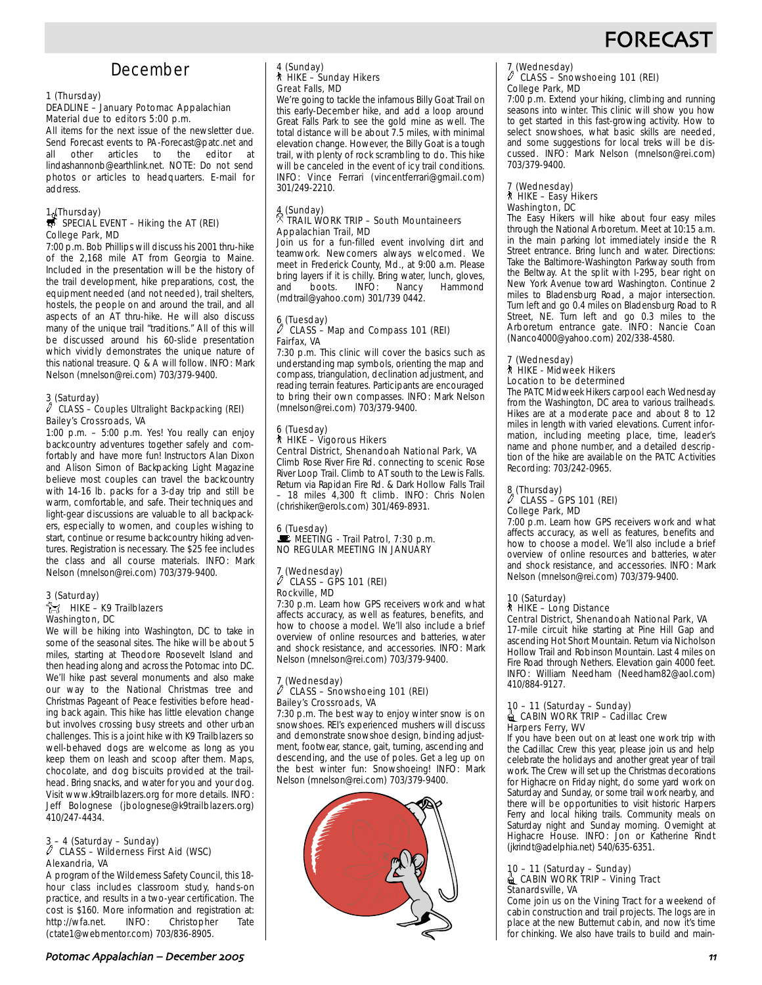

## December

#### 1 (Thursday)

#### DEADLINE – January Potomac Appalachian Material due to editors 5:00 p.m.

All items for the next issue of the newsletter due. Send Forecast events to PA-Forecast@patc.net and other articles to the editor at lindashannonb@earthlink.net. NOTE: Do not send photos or articles to headquarters. E-mail for address.

## 1. (Thursday)<br> $\overline{\mathbf{S}}$  SPECIAL EVENT – Hiking the AT (REI) College Park, MD

7:00 p.m. Bob Phillips will discuss his 2001 thru-hike of the 2,168 mile AT from Georgia to Maine. Included in the presentation will be the history of the trail development, hike preparations, cost, the equipment needed (and not needed), trail shelters, hostels, the people on and around the trail, and all aspects of an AT thru-hike. He will also discuss many of the unique trail "traditions." All of this will be discussed around his 60-slide presentation which vividly demonstrates the unique nature of this national treasure. Q & A will follow. INFO: Mark Nelson (mnelson@rei.com) 703/379-9400.

#### 3 (Saturday)

#### $\ell$  CLASS – Couples Ultralight Backpacking (REI) Bailey's Crossroads, VA

1:00 p.m. – 5:00 p.m. Yes! You really can enjoy backcountry adventures together safely and comfortably and have more fun! Instructors Alan Dixon and Alison Simon of Backpacking Light Magazine believe most couples can travel the backcountry with 14-16 lb. packs for a 3-day trip and still be warm, comfortable, and safe. Their techniques and light-gear discussions are valuable to all backpackers, especially to women, and couples wishing to start, continue or resume backcountry hiking adventures. Registration is necessary. The \$25 fee includes the class and all course materials. INFO: Mark Nelson (mnelson@rei.com) 703/379-9400.

#### 3 (Saturday)  $\frac{2}{12}$  HIKE – K9 Trailblazers Washington, DC

We will be hiking into Washington, DC to take in some of the seasonal sites. The hike will be about 5 miles, starting at Theodore Roosevelt Island and then heading along and across the Potomac into DC. We'll hike past several monuments and also make our way to the National Christmas tree and Christmas Pageant of Peace festivities before heading back again. This hike has little elevation change but involves crossing busy streets and other urban challenges. This is a joint hike with K9 Trailblazers so well-behaved dogs are welcome as long as you keep them on leash and scoop after them. Maps, chocolate, and dog biscuits provided at the trailhead. Bring snacks, and water for you and your dog. Visit www.k9trailblazers.org for more details. INFO: Jeff Bolognese (jbolognese@k9trailblazers.org) 410/247-4434.

## 3 – 4 (Saturday – Sunday) a CLASS – Wilderness First Aid (WSC) Alexandria, VA

A program of the Wilderness Safety Council, this 18 hour class includes classroom study, hands-on practice, and results in a two-year certification. The cost is \$160. More information and registration at:<br>http://wfa.net. INFO: Christopher Tate http://wfa.net. INFO: Christopher Tate (ctate1@webmentor.com) 703/836-8905.

### 4 (Sunday) ` HIKE – Sunday Hikers Great Falls, MD

We're going to tackle the infamous Billy Goat Trail on this early-December hike, and add a loop around Great Falls Park to see the gold mine as well. The total distance will be about 7.5 miles, with minimal elevation change. However, the Billy Goat is a tough trail, with plenty of rock scrambling to do. This hike will be canceled in the event of icy trail conditions. INFO: Vince Ferrari (vincentferrari@gmail.com) 301/249-2210.

### 4 (Sunday) . TRAIL WORK TRIP – South Mountaineers Appalachian Trail, MD

Join us for a fun-filled event involving dirt and teamwork. Newcomers always welcomed. We meet in Frederick County, Md., at 9:00 a.m. Please bring layers if it is chilly. Bring water, lunch, gloves, and boots. INFO: Nancy Hammond (mdtrail@yahoo.com) 301/739 0442.

#### 6 (Tuesday) CLASS – Map and Compass 101 (REI) Fairfax, VA

7:30 p.m. This clinic will cover the basics such as understanding map symbols, orienting the map and compass, triangulation, declination adjustment, and reading terrain features. Participants are encouraged to bring their own compasses. INFO: Mark Nelson (mnelson@rei.com) 703/379-9400.

## 6 (Tuesday) ` HIKE – Vigorous Hikers

Central District, Shenandoah National Park, VA Climb Rose River Fire Rd. connecting to scenic Rose River Loop Trail. Climb to AT south to the Lewis Falls. Return via Rapidan Fire Rd. & Dark Hollow Falls Trail – 18 miles 4,300 ft climb. INFO: Chris Nolen (chrishiker@erols.com) 301/469-8931.

6 (Tuesday)  $\mathbf{\dot{F}}$  MEETING - Trail Patrol, 7:30 p.m. NO REGULAR MEETING IN JANUARY

#### 7 (Wednesday)  $\ell$  `Class – Gps 101 (REI) Rockville, MD

7:30 p.m. Learn how GPS receivers work and what affects accuracy, as well as features, benefits, and how to choose a model. We'll also include a brief overview of online resources and batteries, water and shock resistance, and accessories. INFO: Mark Nelson (mnelson@rei.com) 703/379-9400.

#### 7 (Wednesday) CLASS – Snowshoeing 101 (REI) Bailey's Crossroads, VA

7:30 p.m. The best way to enjoy winter snow is on snowshoes. REI's experienced mushers will discuss and demonstrate snowshoe design, binding adjustment, footwear, stance, gait, turning, ascending and descending, and the use of poles. Get a leg up on the best winter fun: Snowshoeing! INFO: Mark Nelson (mnelson@rei.com) 703/379-9400.



#### 7 (Wednesday) a CLASS – Snowshoeing 101 (REI) College Park, MD

7:00 p.m. Extend your hiking, climbing and running seasons into winter. This clinic will show you how to get started in this fast-growing activity. How to select snowshoes, what basic skills are needed, and some suggestions for local treks will be discussed. INFO: Mark Nelson (mnelson@rei.com) 703/379-9400.

#### 7 (Wednesday) ` HIKE – Easy Hikers Washington, DC

The Easy Hikers will hike about four easy miles through the National Arboretum. Meet at 10:15 a.m. in the main parking lot immediately inside the R Street entrance. Bring lunch and water. Directions: Take the Baltimore-Washington Parkway south from the Beltway. At the split with I-295, bear right on New York Avenue toward Washington. Continue 2 miles to Bladensburg Road, a major intersection. Turn left and go 0.4 miles on Bladensburg Road to R Street, NE. Turn left and go 0.3 miles to the Arboretum entrance gate. INFO: Nancie Coan (Nanco4000@yahoo.com) 202/338-4580.

#### 7 (Wednesday) ` HIKE - Midweek Hikers Location to be determined

The PATC Midweek Hikers carpool each Wednesday from the Washington, DC area to various trailheads. Hikes are at a moderate pace and about 8 to 12 miles in length with varied elevations. Current information, including meeting place, time, leader's name and phone number, and a detailed description of the hike are available on the PATC Activities Recording: 703/242-0965.

### 8 (Thursday) a CLASS – GPS 101 (REI) College Park, MD

7:00 p.m. Learn how GPS receivers work and what affects accuracy, as well as features, benefits and how to choose a model. We'll also include a brief overview of online resources and batteries, water and shock resistance, and accessories. INFO: Mark Nelson (mnelson@rei.com) 703/379-9400.

#### 10 (Saturday) ` HIKE – Long Distance

### Central District, Shenandoah National Park, VA

17-mile circuit hike starting at Pine Hill Gap and ascending Hot Short Mountain. Return via Nicholson Hollow Trail and Robinson Mountain. Last 4 miles on Fire Road through Nethers. Elevation gain 4000 feet. INFO: William Needham (Needham82@aol.com) 410/884-9127.

## 10 – 11 (Saturday – Sunday)<br>● CABIN WORK TRIP – Cadillac Crew Harpers Ferry, WV

If you have been out on at least one work trip with the Cadillac Crew this year, please join us and help celebrate the holidays and another great year of trail work. The Crew will set up the Christmas decorations for Highacre on Friday night, do some yard work on Saturday and Sunday, or some trail work nearby, and there will be opportunities to visit historic Harpers Ferry and local hiking trails. Community meals on Saturday night and Sunday morning. Overnight at Highacre House. INFO: Jon or Katherine Rindt (jkrindt@adelphia.net) 540/635-6351.

### 10 – 11 (Saturday – Sunday)<br>■ CABIN WORK TRIP – Vining Tract Stanardsville, VA

Come join us on the Vining Tract for a weekend of cabin construction and trail projects. The logs are in place at the new Butternut cabin, and now it's time for chinking. We also have trails to build and main-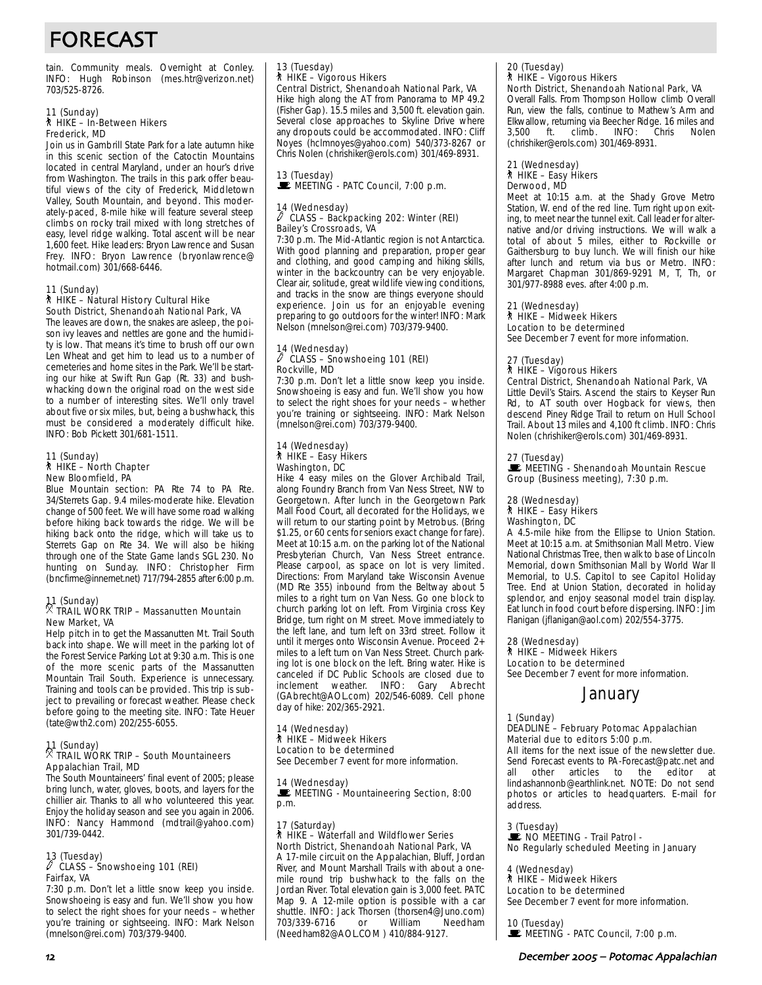# FORECAST

tain. Community meals. Overnight at Conley. INFO: Hugh Robinson (mes.htr@verizon.net) 703/525-8726.

## 11 (Sunday)<br>∕ो HIKE – In-Between Hikers Frederick, MD

Join us in Gambrill State Park for a late autumn hike in this scenic section of the Catoctin Mountains located in central Maryland, under an hour's drive from Washington. The trails in this park offer beautiful views of the city of Frederick, Middletown Valley, South Mountain, and beyond. This moderately-paced, 8-mile hike will feature several steep climbs on rocky trail mixed with long stretches of easy, level ridge walking. Total ascent will be near 1,600 feet. Hike leaders: Bryon Lawrence and Susan Frey. INFO: Bryon Lawrence (bryonlawrence@ hotmail.com) 301/668-6446.

#### 11 (Sunday)

#### ` HIKE – Natural History Cultural Hike South District, Shenandoah National Park, VA

The leaves are down, the snakes are asleep, the poison ivy leaves and nettles are gone and the humidity is low. That means it's time to brush off our own Len Wheat and get him to lead us to a number of cemeteries and home sites in the Park. We'll be starting our hike at Swift Run Gap (Rt. 33) and bushwhacking down the original road on the west side to a number of interesting sites. We'll only travel about five or six miles, but, being a bushwhack, this must be considered a moderately difficult hike. INFO: Bob Pickett 301/681-1511.

#### 11 (Sunday) ` HIKE – North Chapter New Bloomfield, PA

Blue Mountain section: PA Rte 74 to PA Rte. 34/Sterrets Gap. 9.4 miles-moderate hike. Elevation change of 500 feet. We will have some road walking before hiking back towards the ridge. We will be hiking back onto the ridge, which will take us to Sterrets Gap on Rte 34. We will also be hiking through one of the State Game lands SGL 230. No hunting on Sunday. INFO: Christopher Firm (bncfirme@innernet.net) 717/794-2855 after 6:00 p.m.

#### 11 (Sunday) . TRAIL WORK TRIP – Massanutten Mountain New Market, VA

Help pitch in to get the Massanutten Mt. Trail South back into shape. We will meet in the parking lot of the Forest Service Parking Lot at 9:30 a.m. This is one of the more scenic parts of the Massanutten Mountain Trail South. Experience is unnecessary. Training and tools can be provided. This trip is subject to prevailing or forecast weather. Please check before going to the meeting site. INFO: Tate Heuer (tate@wth2.com) 202/255-6055.

## 11 (Sunday) . TRAIL WORK TRIP – South Mountaineers Appalachian Trail, MD

The South Mountaineers' final event of 2005; please bring lunch, water, gloves, boots, and layers for the chillier air. Thanks to all who volunteered this year. Enjoy the holiday season and see you again in 2006. INFO: Nancy Hammond (mdtrail@yahoo.com) 301/739-0442.

## 13 (Tuesday) a CLASS – Snowshoeing 101 (REI) Fairfax, VA

7:30 p.m. Don't let a little snow keep you inside. Snowshoeing is easy and fun. We'll show you how to select the right shoes for your needs – whether you're training or sightseeing. INFO: Mark Nelson (mnelson@rei.com) 703/379-9400.

# 13 (Tuesday) ` HIKE – Vigorous Hikers

Central District, Shenandoah National Park, VA Hike high along the AT from Panorama to MP 49.2 (Fisher Gap). 15.5 miles and 3,500 ft. elevation gain. Several close approaches to Skyline Drive where any dropouts could be accommodated. INFO: Cliff Noyes (hclmnoyes@yahoo.com) 540/373-8267 or Chris Nolen (chrishiker@erols.com) 301/469-8931.

# 13 (Tuesday)<br>■ MEETING - PATC Council, 7:00 p.m.

#### 14 (Wednesday) CLASS - Backpacking 202: Winter (REI) Bailey's Crossroads, VA

7:30 p.m. The Mid-Atlantic region is not Antarctica. With good planning and preparation, proper gear and clothing, and good camping and hiking skills, winter in the backcountry can be very enjoyable. Clear air, solitude, great wildlife viewing conditions, and tracks in the snow are things everyone should experience. Join us for an enjoyable evening preparing to go outdoors for the winter! INFO: Mark Nelson (mnelson@rei.com) 703/379-9400.

### 14 (Wednesday) a CLASS – Snowshoeing 101 (REI) Rockville, MD

7:30 p.m. Don't let a little snow keep you inside. Snowshoeing is easy and fun. We'll show you how to select the right shoes for your needs – whether you're training or sightseeing. INFO: Mark Nelson (mnelson@rei.com) 703/379-9400.

#### 14 (Wednesday) ` HIKE – Easy Hikers Washington, DC

Hike 4 easy miles on the Glover Archibald Trail, along Foundry Branch from Van Ness Street, NW to Georgetown. After lunch in the Georgetown Park Mall Food Court, all decorated for the Holidays, we will return to our starting point by Metrobus. (Bring \$1.25, or 60 cents for seniors exact change for fare). Meet at 10:15 a.m. on the parking lot of the National Presbyterian Church, Van Ness Street entrance. Please carpool, as space on lot is very limited. Directions: From Maryland take Wisconsin Avenue (MD Rte 355) inbound from the Beltway about 5 miles to a right turn on Van Ness. Go one block to church parking lot on left. From Virginia cross Key Bridge, turn right on M street. Move immediately to the left lane, and turn left on 33rd street. Follow it until it merges onto Wisconsin Avenue. Proceed 2+ miles to a left turn on Van Ness Street. Church parking lot is one block on the left. Bring water. Hike is canceled if DC Public Schools are closed due to inclement weather. INFO: Gary Abrecht (GAbrecht@AOL.com) 202/546-6089. Cell phone day of hike: 202/365-2921.

#### 14 (Wednesday) ` HIKE – Midweek Hikers Location to be determined See December 7 event for more information.

14 (Wednesday)<br>■ MEETING - Mountaineering Section, 8:00

## p.m.

#### 17 (Saturday) ` HIKE – Waterfall and Wildflower Series North District, Shenandoah National Park, VA

A 17-mile circuit on the Appalachian, Bluff, Jordan River, and Mount Marshall Trails with about a onemile round trip bushwhack to the falls on the Jordan River. Total elevation gain is 3,000 feet. PATC Map 9. A 12-mile option is possible with a car shuttle. INFO: Jack Thorsen (thorsen4@Juno.com)<br>703/339-6716 or William Needham 703/339-6716 (Needham82@AOL.COM ) 410/884-9127.

# 20 (Tuesday) ` HIKE – Vigorous Hikers

North District, Shenandoah National Park, VA Overall Falls. From Thompson Hollow climb Overall Run, view the falls, continue to Mathew's Arm and Elkwallow, returning via Beecher Ridge. 16 miles and<br>3,500 ft. climb. INFO: Chris Nolen climb. INFO: Chris Nolen (chrishiker@erols.com) 301/469-8931.

#### 21 (Wednesday) ` HIKE – Easy Hikers Derwood, MD

Meet at 10:15 a.m. at the Shady Grove Metro Station, W. end of the red line. Turn right upon exiting, to meet near the tunnel exit. Call leader for alternative and/or driving instructions. We will walk a total of about 5 miles, either to Rockville or Gaithersburg to buy lunch. We will finish our hike after lunch and return via bus or Metro. INFO: Margaret Chapman 301/869-9291 M, T, Th, or 301/977-8988 eves. after 4:00 p.m.

## 21 (Wednesday) ` HIKE – Midweek Hikers

Location to be determined See December 7 event for more information.

#### 27 (Tuesday) ` HIKE – Vigorous Hikers

Central District, Shenandoah National Park, VA Little Devil's Stairs. Ascend the stairs to Keyser Run Rd, to AT south over Hogback for views, then descend Piney Ridge Trail to return on Hull School Trail. About 13 miles and 4,100 ft climb. INFO: Chris Nolen (chrishiker@erols.com) 301/469-8931.

#### 27 (Tuesday)

#### **WEETING - Shenandoah Mountain Rescue** Group (Business meeting), 7:30 p.m.

## 28 (Wednesday) ` HIKE – Easy Hikers Washington, DC

A 4.5-mile hike from the Ellipse to Union Station. Meet at 10:15 a.m. at Smithsonian Mall Metro. View National Christmas Tree, then walk to base of Lincoln Memorial, down Smithsonian Mall by World War II Memorial, to U.S. Capitol to see Capitol Holiday Tree. End at Union Station, decorated in holiday splendor, and enjoy seasonal model train display. Eat lunch in food court before dispersing. INFO: Jim Flanigan (jflanigan@aol.com) 202/554-3775.

28 (Wednesday) ` HIKE – Midweek Hikers Location to be determined See December 7 event for more information.

### January

1 (Sunday)

#### DEADLINE – February Potomac Appalachian Material due to editors 5:00 p.m.

All items for the next issue of the newsletter due. Send Forecast events to PA-Forecast@patc.net and<br>all other articles to the editor at all other articles to the lindashannonb@earthlink.net. NOTE: Do not send photos or articles to headquarters. E-mail for address.

3 (Tuesday) NO MÉETING - Trail Patrol -No Regularly scheduled Meeting in January

4 (Wednesday)

#### ` HIKE – Midweek Hikers

Location to be determined See December 7 event for more information.

10 (Tuesday)<br>■ MEETING - PATC Council, 7:00 p.m.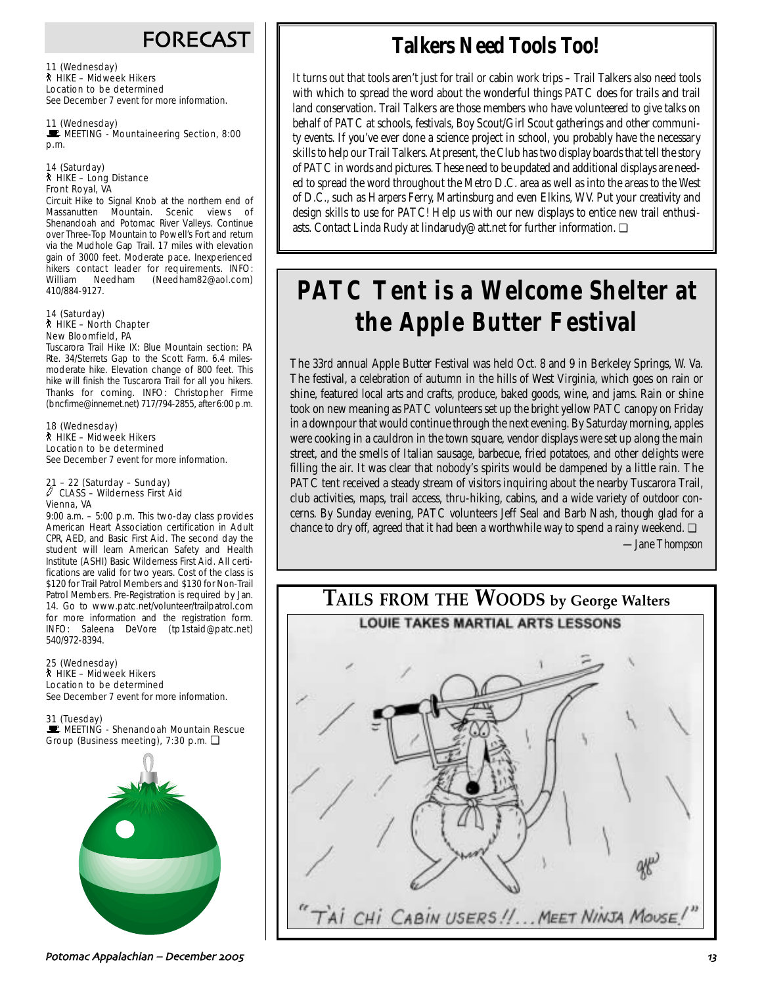## FORECAST

11 (Wednesday) ` HIKE – Midweek Hikers Location to be determined See December 7 event for more information.

11 (Wednesday) MEETING - Mountaineering Section, 8:00 p.m.

#### 14 (Saturday) ` HIKE – Long Distance Front Royal, VA

Circuit Hike to Signal Knob at the northern end of Massanutten Mountain. Scenic views of Shenandoah and Potomac River Valleys. Continue over Three-Top Mountain to Powell's Fort and return via the Mudhole Gap Trail. 17 miles with elevation gain of 3000 feet. Moderate pace. Inexperienced hikers contact leader for requirements. INFO: William Needham (Needham82@aol.com) 410/884-9127.

#### 14 (Saturday) ` HIKE – North Chapter New Bloomfield, PA

Tuscarora Trail Hike IX: Blue Mountain section: PA Rte. 34/Sterrets Gap to the Scott Farm. 6.4 milesmoderate hike. Elevation change of 800 feet. This hike will finish the Tuscarora Trail for all you hikers. Thanks for coming. INFO: Christopher Firme (bncfirme@innernet.net) 717/794-2855, after 6:00 p.m.

18 (Wednesday) ` HIKE – Midweek Hikers Location to be determined See December 7 event for more information.

#### 21 – 22 (Saturday – Sunday)  $\ell$  CLASS – Wilderness First Aid Vienna, VA

9:00 a.m. – 5:00 p.m. This two-day class provides American Heart Association certification in Adult CPR, AED, and Basic First Aid. The second day the student will learn American Safety and Health Institute (ASHI) Basic Wilderness First Aid. All certifications are valid for two years. Cost of the class is \$120 for Trail Patrol Members and \$130 for Non-Trail Patrol Members. Pre-Registration is required by Jan. 14. Go to www.patc.net/volunteer/trailpatrol.com for more information and the registration form. INFO: Saleena DeVore (tp1staid@patc.net) 540/972-8394.

25 (Wednesday) ` HIKE – Midweek Hikers Location to be determined See December 7 event for more information.

31 (Tuesday) MEETING - Shenandoah Mountain Rescue Group (Business meeting), 7:30 p.m. ❏



#### Potomac Appalachian – December \$%%& @-

# **Talkers Need Tools Too!**

It turns out that tools aren't just for trail or cabin work trips – Trail Talkers also need tools with which to spread the word about the wonderful things PATC does for trails and trail land conservation. Trail Talkers are those members who have volunteered to give talks on behalf of PATC at schools, festivals, Boy Scout/Girl Scout gatherings and other community events. If you've ever done a science project in school, you probably have the necessary skills to help our Trail Talkers. At present, the Club has two display boards that tell the story of PATC in words and pictures. These need to be updated and additional displays are needed to spread the word throughout the Metro D.C. area as well as into the areas to the West of D.C., such as Harpers Ferry, Martinsburg and even Elkins, WV. Put your creativity and design skills to use for PATC! Help us with our new displays to entice new trail enthusiasts. Contact Linda Rudy at lindarudy@att.net for further information. ❏

# **PATC Tent is a Welcome Shelter at the Apple Butter Festival**

The 33rd annual Apple Butter Festival was held Oct. 8 and 9 in Berkeley Springs, W. Va. The festival, a celebration of autumn in the hills of West Virginia, which goes on rain or shine, featured local arts and crafts, produce, baked goods, wine, and jams. Rain or shine took on new meaning as PATC volunteers set up the bright yellow PATC canopy on Friday in a downpour that would continue through the next evening. By Saturday morning, apples were cooking in a cauldron in the town square, vendor displays were set up along the main street, and the smells of Italian sausage, barbecue, fried potatoes, and other delights were filling the air. It was clear that nobody's spirits would be dampened by a little rain. The PATC tent received a steady stream of visitors inquiring about the nearby Tuscarora Trail, club activities, maps, trail access, thru-hiking, cabins, and a wide variety of outdoor concerns. By Sunday evening, PATC volunteers Jeff Seal and Barb Nash, though glad for a chance to dry off, agreed that it had been a worthwhile way to spend a rainy weekend.  $\Box$ 

*—Jane Thompson*

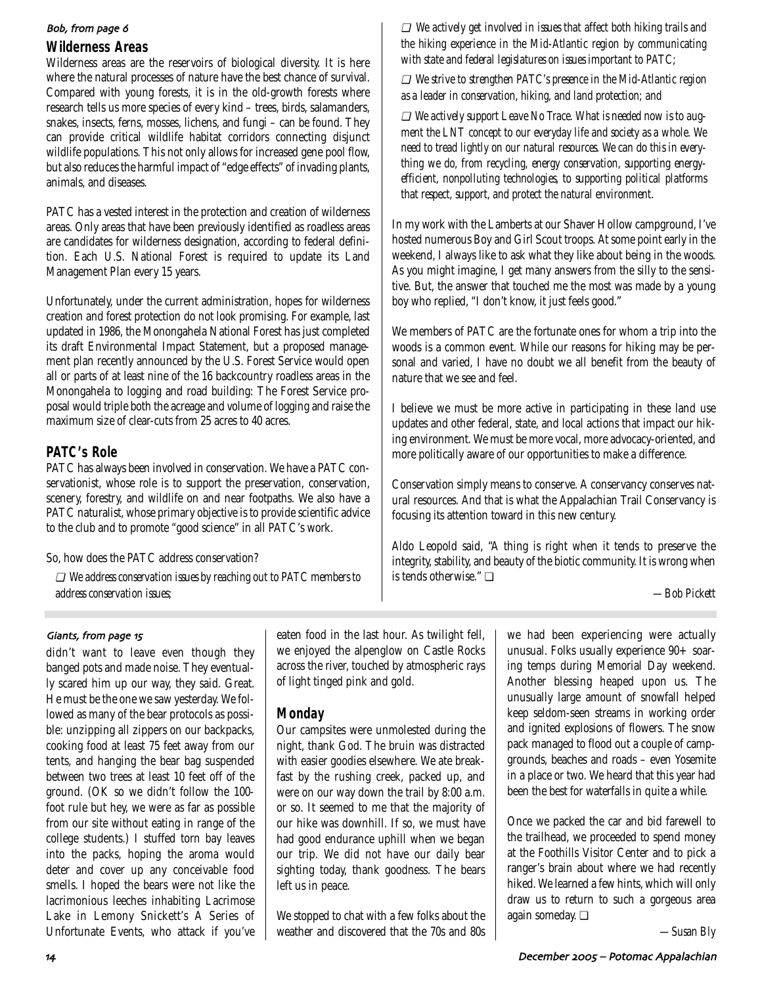#### Bob, from page 6

### **Wilderness Areas**

Wilderness areas are the reservoirs of biological diversity. It is here where the natural processes of nature have the best chance of survival. Compared with young forests, it is in the old-growth forests where research tells us more species of every kind – trees, birds, salamanders, snakes, insects, ferns, mosses, lichens, and fungi – can be found. They can provide critical wildlife habitat corridors connecting disjunct wildlife populations. This not only allows for increased gene pool flow, but also reduces the harmful impact of "edge effects" of invading plants, animals, and diseases.

PATC has a vested interest in the protection and creation of wilderness areas. Only areas that have been previously identified as roadless areas are candidates for wilderness designation, according to federal definition. Each U.S. National Forest is required to update its Land Management Plan every 15 years.

Unfortunately, under the current administration, hopes for wilderness creation and forest protection do not look promising. For example, last updated in 1986, the Monongahela National Forest has just completed its draft Environmental Impact Statement, but a proposed management plan recently announced by the U.S. Forest Service would open all or parts of at least nine of the 16 backcountry roadless areas in the Monongahela to logging and road building: The Forest Service proposal would triple both the acreage and volume of logging and raise the maximum size of clear-cuts from 25 acres to 40 acres.

### **PATC's Role**

PATC has always been involved in conservation. We have a PATC conservationist, whose role is to support the preservation, conservation, scenery, forestry, and wildlife on and near footpaths. We also have a PATC naturalist, whose primary objective is to provide scientific advice to the club and to promote "good science" in all PATC's work.

So, how does the PATC address conservation?

❏ *We address conservation issues by reaching out to PATC members to address conservation issues;*

❏ *We actively get involved in issues that affect both hiking trails and the hiking experience in the Mid-Atlantic region by communicating with state and federal legislatures on issues important to PATC;* 

❏ *We strive to strengthen PATC's presence in the Mid-Atlantic region as a leader in conservation, hiking, and land protection; and* 

❏ *We actively support Leave No Trace. What is needed now is to augment the LNT concept to our everyday life and society as a whole. We need to tread lightly on our natural resources. We can do this in everything we do, from recycling, energy conservation, supporting energyefficient, nonpolluting technologies, to supporting political platforms that respect, support, and protect the natural environment.*

In my work with the Lamberts at our Shaver Hollow campground, I've hosted numerous Boy and Girl Scout troops. At some point early in the weekend, I always like to ask what they like about being in the woods. As you might imagine, I get many answers from the silly to the sensitive. But, the answer that touched me the most was made by a young boy who replied, "I don't know, it just feels good."

We members of PATC are the fortunate ones for whom a trip into the woods is a common event. While our reasons for hiking may be personal and varied, I have no doubt we all benefit from the beauty of nature that we see and feel.

I believe we must be more active in participating in these land use updates and other federal, state, and local actions that impact our hiking environment. We must be more vocal, more advocacy-oriented, and more politically aware of our opportunities to make a difference.

Conservation simply means to conserve. A conservancy conserves natural resources. And that is what the Appalachian Trail Conservancy is focusing its attention toward in this new century.

Aldo Leopold said, "A thing is right when it tends to preserve the integrity, stability, and beauty of the biotic community. It is wrong when is tends otherwise." ❏

*—Bob Pickett*

#### Giants, from page 15

didn't want to leave even though they banged pots and made noise. They eventually scared him up our way, they said. Great. He must be the one we saw yesterday. We followed as many of the bear protocols as possible: unzipping all zippers on our backpacks, cooking food at least 75 feet away from our tents, and hanging the bear bag suspended between two trees at least 10 feet off of the ground. (OK so we didn't follow the 100 foot rule but hey, we were as far as possible from our site without eating in range of the college students.) I stuffed torn bay leaves into the packs, hoping the aroma would deter and cover up any conceivable food smells. I hoped the bears were not like the lacrimonious leeches inhabiting Lacrimose Lake in Lemony Snickett's A Series of Unfortunate Events, who attack if you've eaten food in the last hour. As twilight fell, we enjoyed the alpenglow on Castle Rocks across the river, touched by atmospheric rays of light tinged pink and gold.

## **Monday**

Our campsites were unmolested during the night, thank God. The bruin was distracted with easier goodies elsewhere. We ate breakfast by the rushing creek, packed up, and were on our way down the trail by 8:00 a.m. or so. It seemed to me that the majority of our hike was downhill. If so, we must have had good endurance uphill when we began our trip. We did not have our daily bear sighting today, thank goodness. The bears left us in peace.

We stopped to chat with a few folks about the weather and discovered that the 70s and 80s we had been experiencing were actually unusual. Folks usually experience 90+ soaring temps during Memorial Day weekend. Another blessing heaped upon us. The unusually large amount of snowfall helped keep seldom-seen streams in working order and ignited explosions of flowers. The snow pack managed to flood out a couple of campgrounds, beaches and roads – even Yosemite in a place or two. We heard that this year had been the best for waterfalls in quite a while.

Once we packed the car and bid farewell to the trailhead, we proceeded to spend money at the Foothills Visitor Center and to pick a ranger's brain about where we had recently hiked. We learned a few hints, which will only draw us to return to such a gorgeous area again someday. ❏

*—Susan Bly*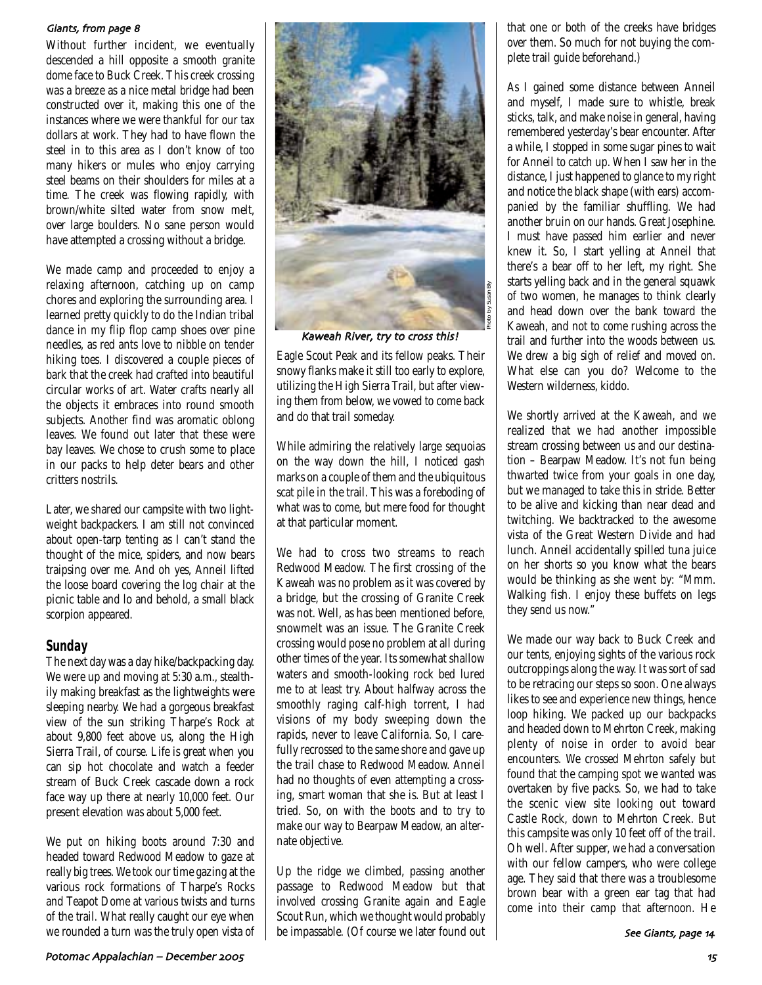#### Giants, from page 8

Without further incident, we eventually descended a hill opposite a smooth granite dome face to Buck Creek. This creek crossing was a breeze as a nice metal bridge had been constructed over it, making this one of the instances where we were thankful for our tax dollars at work. They had to have flown the steel in to this area as I don't know of too many hikers or mules who enjoy carrying steel beams on their shoulders for miles at a time. The creek was flowing rapidly, with brown/white silted water from snow melt, over large boulders. No sane person would have attempted a crossing without a bridge.

We made camp and proceeded to enjoy a relaxing afternoon, catching up on camp chores and exploring the surrounding area. I learned pretty quickly to do the Indian tribal dance in my flip flop camp shoes over pine needles, as red ants love to nibble on tender hiking toes. I discovered a couple pieces of bark that the creek had crafted into beautiful circular works of art. Water crafts nearly all the objects it embraces into round smooth subjects. Another find was aromatic oblong leaves. We found out later that these were bay leaves. We chose to crush some to place in our packs to help deter bears and other critters nostrils.

Later, we shared our campsite with two lightweight backpackers. I am still not convinced about open-tarp tenting as I can't stand the thought of the mice, spiders, and now bears traipsing over me. And oh yes, Anneil lifted the loose board covering the log chair at the picnic table and lo and behold, a small black scorpion appeared.

### **Sunday**

The next day was a day hike/backpacking day. We were up and moving at 5:30 a.m., stealthily making breakfast as the lightweights were sleeping nearby. We had a gorgeous breakfast view of the sun striking Tharpe's Rock at about 9,800 feet above us, along the High Sierra Trail, of course. Life is great when you can sip hot chocolate and watch a feeder stream of Buck Creek cascade down a rock face way up there at nearly 10,000 feet. Our present elevation was about 5,000 feet.

We put on hiking boots around 7:30 and headed toward Redwood Meadow to gaze at really big trees. We took our time gazing at the various rock formations of Tharpe's Rocks and Teapot Dome at various twists and turns of the trail. What really caught our eye when we rounded a turn was the truly open vista of



Kaweah River, try to cross this!

Eagle Scout Peak and its fellow peaks. Their snowy flanks make it still too early to explore, utilizing the High Sierra Trail, but after viewing them from below, we vowed to come back and do that trail someday.

While admiring the relatively large sequoias on the way down the hill, I noticed gash marks on a couple of them and the ubiquitous scat pile in the trail. This was a foreboding of what was to come, but mere food for thought at that particular moment.

We had to cross two streams to reach Redwood Meadow. The first crossing of the Kaweah was no problem as it was covered by a bridge, but the crossing of Granite Creek was not. Well, as has been mentioned before, snowmelt was an issue. The Granite Creek crossing would pose no problem at all during other times of the year. Its somewhat shallow waters and smooth-looking rock bed lured me to at least try. About halfway across the smoothly raging calf-high torrent, I had visions of my body sweeping down the rapids, never to leave California. So, I carefully recrossed to the same shore and gave up the trail chase to Redwood Meadow. Anneil had no thoughts of even attempting a crossing, smart woman that she is. But at least I tried. So, on with the boots and to try to make our way to Bearpaw Meadow, an alternate objective.

Up the ridge we climbed, passing another passage to Redwood Meadow but that involved crossing Granite again and Eagle Scout Run, which we thought would probably be impassable. (Of course we later found out

that one or both of the creeks have bridges over them. So much for not buying the complete trail guide beforehand.)

As I gained some distance between Anneil and myself, I made sure to whistle, break sticks, talk, and make noise in general, having remembered yesterday's bear encounter. After a while, I stopped in some sugar pines to wait for Anneil to catch up. When I saw her in the distance, I just happened to glance to my right and notice the black shape (with ears) accompanied by the familiar shuffling. We had another bruin on our hands. Great Josephine. I must have passed him earlier and never knew it. So, I start yelling at Anneil that there's a bear off to her left, my right. She starts yelling back and in the general squawk of two women, he manages to think clearly and head down over the bank toward the Kaweah, and not to come rushing across the trail and further into the woods between us. We drew a big sigh of relief and moved on. What else can you do? Welcome to the Western wilderness, kiddo.

We shortly arrived at the Kaweah, and we realized that we had another impossible stream crossing between us and our destination – Bearpaw Meadow. It's not fun being thwarted twice from your goals in one day, but we managed to take this in stride. Better to be alive and kicking than near dead and twitching. We backtracked to the awesome vista of the Great Western Divide and had lunch. Anneil accidentally spilled tuna juice on her shorts so you know what the bears would be thinking as she went by: "Mmm. Walking fish. I enjoy these buffets on legs they send us now."

We made our way back to Buck Creek and our tents, enjoying sights of the various rock outcroppings along the way. It was sort of sad to be retracing our steps so soon. One always likes to see and experience new things, hence loop hiking. We packed up our backpacks and headed down to Mehrton Creek, making plenty of noise in order to avoid bear encounters. We crossed Mehrton safely but found that the camping spot we wanted was overtaken by five packs. So, we had to take the scenic view site looking out toward Castle Rock, down to Mehrton Creek. But this campsite was only 10 feet off of the trail. Oh well. After supper, we had a conversation with our fellow campers, who were college age. They said that there was a troublesome brown bear with a green ear tag that had come into their camp that afternoon. He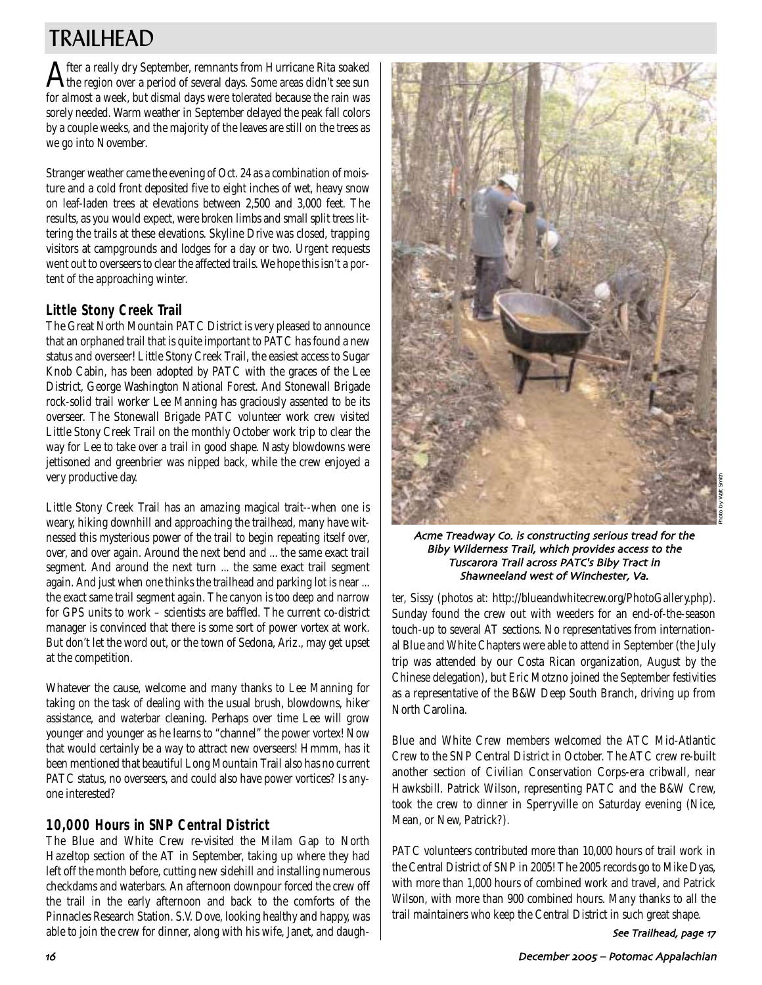# TRAILHEAD

After a really dry September, remnants from Hurricane Rita soaked the region over a period of several days. Some areas didn't see sun for almost a week, but dismal days were tolerated because the rain was sorely needed. Warm weather in September delayed the peak fall colors by a couple weeks, and the majority of the leaves are still on the trees as we go into November.

Stranger weather came the evening of Oct. 24 as a combination of moisture and a cold front deposited five to eight inches of wet, heavy snow on leaf-laden trees at elevations between 2,500 and 3,000 feet. The results, as you would expect, were broken limbs and small split trees littering the trails at these elevations. Skyline Drive was closed, trapping visitors at campgrounds and lodges for a day or two. Urgent requests went out to overseers to clear the affected trails. We hope this isn't a portent of the approaching winter.

## **Little Stony Creek Trail**

The Great North Mountain PATC District is very pleased to announce that an orphaned trail that is quite important to PATC has found a new status and overseer! Little Stony Creek Trail, the easiest access to Sugar Knob Cabin, has been adopted by PATC with the graces of the Lee District, George Washington National Forest. And Stonewall Brigade rock-solid trail worker Lee Manning has graciously assented to be its overseer. The Stonewall Brigade PATC volunteer work crew visited Little Stony Creek Trail on the monthly October work trip to clear the way for Lee to take over a trail in good shape. Nasty blowdowns were jettisoned and greenbrier was nipped back, while the crew enjoyed a very productive day.

Little Stony Creek Trail has an amazing magical trait--when one is weary, hiking downhill and approaching the trailhead, many have witnessed this mysterious power of the trail to begin repeating itself over, over, and over again. Around the next bend and ... the same exact trail segment. And around the next turn ... the same exact trail segment again. And just when one thinks the trailhead and parking lot is near ... the exact same trail segment again. The canyon is too deep and narrow for GPS units to work – scientists are baffled. The current co-district manager is convinced that there is some sort of power vortex at work. But don't let the word out, or the town of Sedona, Ariz., may get upset at the competition.

Whatever the cause, welcome and many thanks to Lee Manning for taking on the task of dealing with the usual brush, blowdowns, hiker assistance, and waterbar cleaning. Perhaps over time Lee will grow younger and younger as he learns to "channel" the power vortex! Now that would certainly be a way to attract new overseers! Hmmm, has it been mentioned that beautiful Long Mountain Trail also has no current PATC status, no overseers, and could also have power vortices? Is anyone interested?

## **10,000 Hours in SNP Central District**

The Blue and White Crew re-visited the Milam Gap to North Hazeltop section of the AT in September, taking up where they had left off the month before, cutting new sidehill and installing numerous checkdams and waterbars. An afternoon downpour forced the crew off the trail in the early afternoon and back to the comforts of the Pinnacles Research Station. S.V. Dove, looking healthy and happy, was able to join the crew for dinner, along with his wife, Janet, and daugh-



Acme Treadway Co. is constructing serious tread for the Biby Wilderness Trail, which provides access to the Tuscarora Trail across PATC's Biby Tract in Shawneeland west of Winchester, Va.

ter, Sissy (photos at: http://blueandwhitecrew.org/PhotoGallery.php). Sunday found the crew out with weeders for an end-of-the-season touch-up to several AT sections. No representatives from international Blue and White Chapters were able to attend in September (the July trip was attended by our Costa Rican organization, August by the Chinese delegation), but Eric Motzno joined the September festivities as a representative of the B&W Deep South Branch, driving up from North Carolina.

Blue and White Crew members welcomed the ATC Mid-Atlantic Crew to the SNP Central District in October. The ATC crew re-built another section of Civilian Conservation Corps-era cribwall, near Hawksbill. Patrick Wilson, representing PATC and the B&W Crew, took the crew to dinner in Sperryville on Saturday evening (Nice, Mean, or New, Patrick?).

PATC volunteers contributed more than 10,000 hours of trail work in the Central District of SNP in 2005! The 2005 records go to Mike Dyas, with more than 1,000 hours of combined work and travel, and Patrick Wilson, with more than 900 combined hours. Many thanks to all the trail maintainers who keep the Central District in such great shape.

See Trailhead, page 17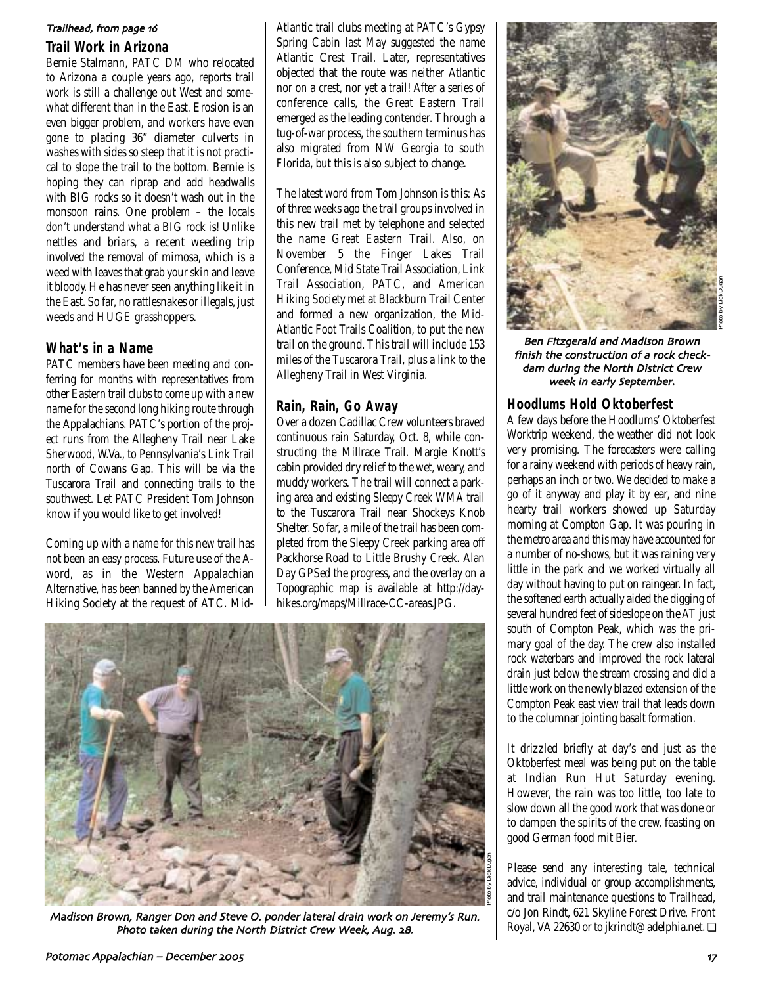#### Trailhead, from page 16

#### **Trail Work in Arizona**

Bernie Stalmann, PATC DM who relocated to Arizona a couple years ago, reports trail work is still a challenge out West and somewhat different than in the East. Erosion is an even bigger problem, and workers have even gone to placing 36" diameter culverts in washes with sides so steep that it is not practical to slope the trail to the bottom. Bernie is hoping they can riprap and add headwalls with BIG rocks so it doesn't wash out in the monsoon rains. One problem – the locals don't understand what a BIG rock is! Unlike nettles and briars, a recent weeding trip involved the removal of mimosa, which is a weed with leaves that grab your skin and leave it bloody. He has never seen anything like it in the East. So far, no rattlesnakes or illegals, just weeds and HUGE grasshoppers.

### **What's in a Name**

PATC members have been meeting and conferring for months with representatives from other Eastern trail clubs to come up with a new name for the second long hiking route through the Appalachians. PATC's portion of the project runs from the Allegheny Trail near Lake Sherwood, W.Va., to Pennsylvania's Link Trail north of Cowans Gap. This will be via the Tuscarora Trail and connecting trails to the southwest. Let PATC President Tom Johnson know if you would like to get involved!

Coming up with a name for this new trail has not been an easy process. Future use of the Aword, as in the Western Appalachian Alternative, has been banned by the American Hiking Society at the request of ATC. MidAtlantic trail clubs meeting at PATC's Gypsy Spring Cabin last May suggested the name Atlantic Crest Trail. Later, representatives objected that the route was neither Atlantic nor on a crest, nor yet a trail! After a series of conference calls, the Great Eastern Trail emerged as the leading contender. Through a tug-of-war process, the southern terminus has also migrated from NW Georgia to south Florida, but this is also subject to change.

The latest word from Tom Johnson is this: As of three weeks ago the trail groups involved in this new trail met by telephone and selected the name Great Eastern Trail. Also, on November 5 the Finger Lakes Trail Conference, Mid State Trail Association, Link Trail Association, PATC, and American Hiking Society met at Blackburn Trail Center and formed a new organization, the Mid-Atlantic Foot Trails Coalition, to put the new trail on the ground. This trail will include 153 miles of the Tuscarora Trail, plus a link to the Allegheny Trail in West Virginia.

### **Rain, Rain, Go Away**

Over a dozen Cadillac Crew volunteers braved continuous rain Saturday, Oct. 8, while constructing the Millrace Trail. Margie Knott's cabin provided dry relief to the wet, weary, and muddy workers. The trail will connect a parking area and existing Sleepy Creek WMA trail to the Tuscarora Trail near Shockeys Knob Shelter. So far, a mile of the trail has been completed from the Sleepy Creek parking area off Packhorse Road to Little Brushy Creek. Alan Day GPSed the progress, and the overlay on a Topographic map is available at http://dayhikes.org/maps/Millrace-CC-areas.JPG.



Madison Brown, Ranger Don and Steve O. ponder lateral drain work on Jeremy's Run. Photo taken during the North District Crew Week, Aug. 28.



Ben Fitzgerald and Madison Brown finish the construction of a rock check dam during the North District Crew week in early September.

### **Hoodlums Hold Oktoberfest**

A few days before the Hoodlums' Oktoberfest Worktrip weekend, the weather did not look very promising. The forecasters were calling for a rainy weekend with periods of heavy rain, perhaps an inch or two. We decided to make a go of it anyway and play it by ear, and nine hearty trail workers showed up Saturday morning at Compton Gap. It was pouring in the metro area and this may have accounted for a number of no-shows, but it was raining very little in the park and we worked virtually all day without having to put on raingear. In fact, the softened earth actually aided the digging of several hundred feet of sideslope on the AT just south of Compton Peak, which was the primary goal of the day. The crew also installed rock waterbars and improved the rock lateral drain just below the stream crossing and did a little work on the newly blazed extension of the Compton Peak east view trail that leads down to the columnar jointing basalt formation.

It drizzled briefly at day's end just as the Oktoberfest meal was being put on the table at Indian Run Hut Saturday evening. However, the rain was too little, too late to slow down all the good work that was done or to dampen the spirits of the crew, feasting on good German food mit Bier.

Please send any interesting tale, technical advice, individual or group accomplishments, and trail maintenance questions to Trailhead, c/o Jon Rindt, 621 Skyline Forest Drive, Front Royal, VA 22630 or to jkrindt@adelphia.net. ❏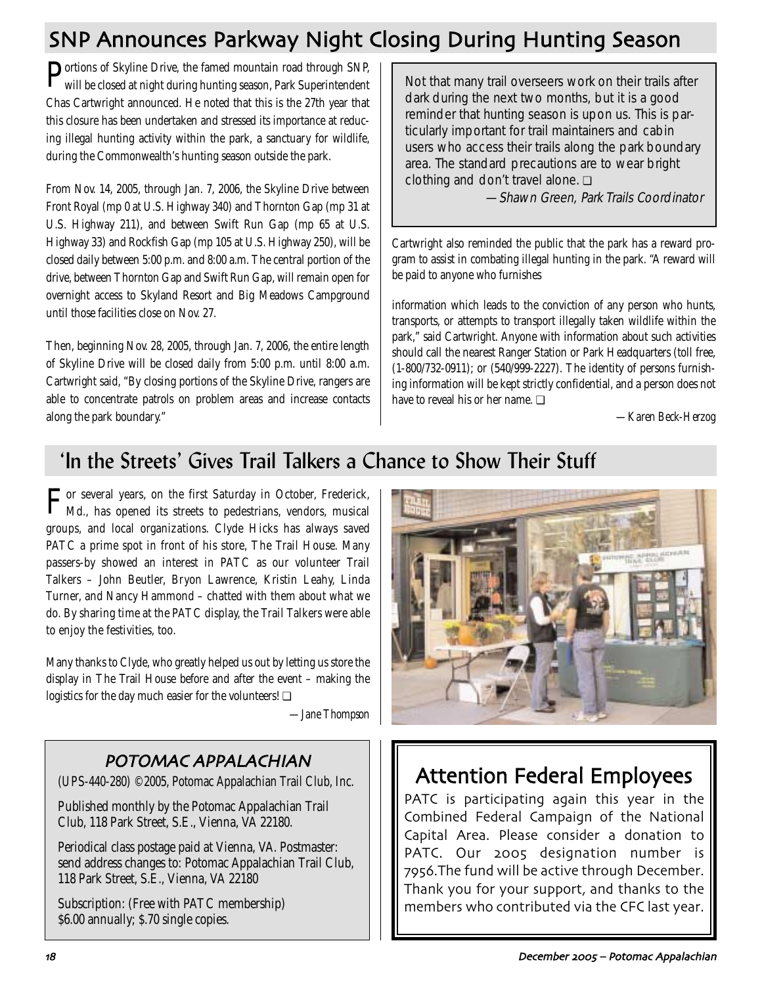# SNP Announces Parkway Night Closing During Hunting Season

Portions of Skyline Drive, the famed mountain road through SNP, will be closed at night during hunting season, Park Superintendent Chas Cartwright announced. He noted that this is the 27th year that this closure has been undertaken and stressed its importance at reducing illegal hunting activity within the park, a sanctuary for wildlife, during the Commonwealth's hunting season outside the park.

From Nov. 14, 2005, through Jan. 7, 2006, the Skyline Drive between Front Royal (mp 0 at U.S. Highway 340) and Thornton Gap (mp 31 at U.S. Highway 211), and between Swift Run Gap (mp 65 at U.S. Highway 33) and Rockfish Gap (mp 105 at U.S. Highway 250), will be closed daily between 5:00 p.m. and 8:00 a.m. The central portion of the drive, between Thornton Gap and Swift Run Gap, will remain open for overnight access to Skyland Resort and Big Meadows Campground until those facilities close on Nov. 27.

Then, beginning Nov. 28, 2005, through Jan. 7, 2006, the entire length of Skyline Drive will be closed daily from 5:00 p.m. until 8:00 a.m. Cartwright said, "By closing portions of the Skyline Drive, rangers are able to concentrate patrols on problem areas and increase contacts along the park boundary."

Not that many trail overseers work on their trails after dark during the next two months, but it is a good reminder that hunting season is upon us. This is particularly important for trail maintainers and cabin users who access their trails along the park boundary area. The standard precautions are to wear bright clothing and don't travel alone. ❏

—Shawn Green, Park Trails Coordinator

Cartwright also reminded the public that the park has a reward program to assist in combating illegal hunting in the park. "A reward will be paid to anyone who furnishes

information which leads to the conviction of any person who hunts, transports, or attempts to transport illegally taken wildlife within the park," said Cartwright. Anyone with information about such activities should call the nearest Ranger Station or Park Headquarters (toll free, (1-800/732-0911); or (540/999-2227). The identity of persons furnishing information will be kept strictly confidential, and a person does not have to reveal his or her name. ❏

*—Karen Beck-Herzog*

## 'In the Streets' Gives Trail Talkers a Chance to Show Their Stuff

For several years, on the first Saturday in October, Frederick, Md., has opened its streets to pedestrians, vendors, musical groups, and local organizations. Clyde Hicks has always saved PATC a prime spot in front of his store, The Trail House. Many passers-by showed an interest in PATC as our volunteer Trail Talkers – John Beutler, Bryon Lawrence, Kristin Leahy, Linda Turner, and Nancy Hammond – chatted with them about what we do. By sharing time at the PATC display, the Trail Talkers were able to enjoy the festivities, too.

Many thanks to Clyde, who greatly helped us out by letting us store the display in The Trail House before and after the event – making the logistics for the day much easier for the volunteers! **□** 

*—Jane Thompson*

## POTOMAC APPALACHIAN

(UPS-440-280) ©2005, Potomac Appalachian Trail Club, Inc.

Published monthly by the Potomac Appalachian Trail Club, 118 Park Street, S.E., Vienna, VA 22180.

Periodical class postage paid at Vienna, VA. Postmaster: send address changes to: Potomac Appalachian Trail Club, 118 Park Street, S.E., Vienna, VA 22180

Subscription: (Free with PATC membership) \$6.00 annually; \$.70 single copies.



# Attention Federal Employees

PATC is participating again this year in the Combined Federal Campaign of the National Capital Area. Please consider a donation to PATC. Our 2005 designation number is 7956. The fund will be active through December. Thank you for your support, and thanks to the members who contributed via the CFC last year.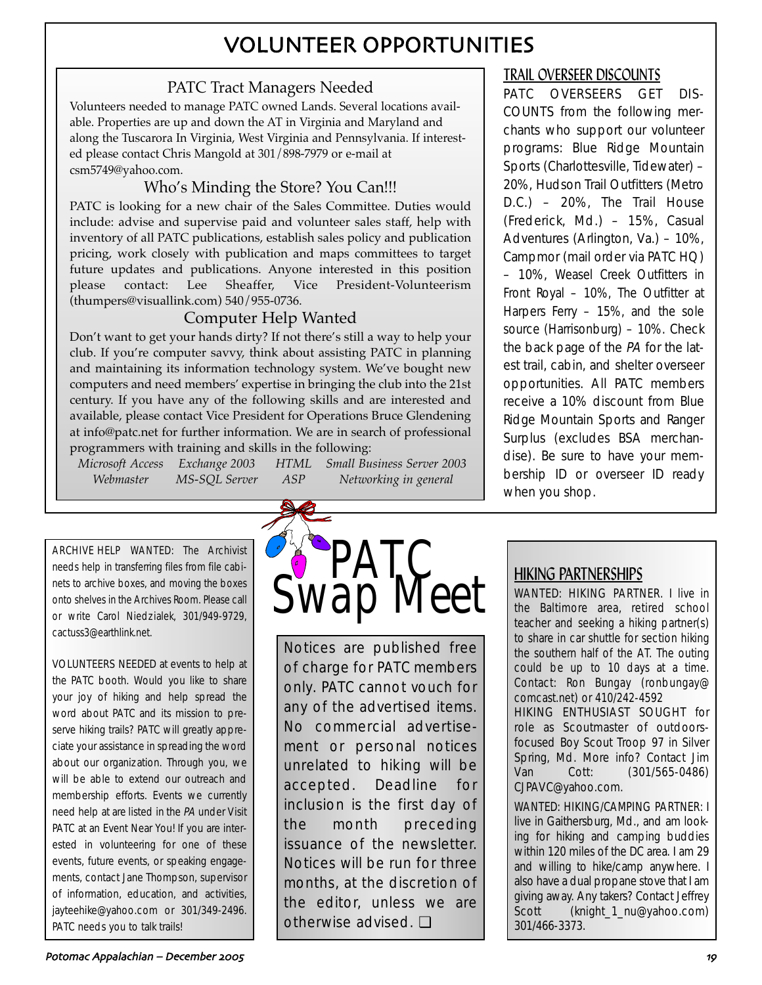# VOLUNTEER OPPORTUNITIES

## PATC Tract Managers Needed

Volunteers needed to manage PATC owned Lands. Several locations available. Properties are up and down the AT in Virginia and Maryland and along the Tuscarora In Virginia, West Virginia and Pennsylvania. If interested please contact Chris Mangold at 301/898-7979 or e-mail at csm5749@yahoo.com.

## Who's Minding the Store? You Can!!!

PATC is looking for a new chair of the Sales Committee. Duties would include: advise and supervise paid and volunteer sales staff, help with inventory of all PATC publications, establish sales policy and publication pricing, work closely with publication and maps committees to target future updates and publications. Anyone interested in this position please contact: Lee Sheaffer, Vice President-Volunteerism (thumpers@visuallink.com) 540/955-0736.

## Computer Help Wanted

Don't want to get your hands dirty? If not there's still a way to help your club. If you're computer savvy, think about assisting PATC in planning and maintaining its information technology system. We've bought new computers and need members' expertise in bringing the club into the 21st century. If you have any of the following skills and are interested and available, please contact Vice President for Operations Bruce Glendening at info@patc.net for further information. We are in search of professional programmers with training and skills in the following:

*Microsoft Access Exchange 2003 HTML Small Business Server 2003 Webmaster MS-SQL Server ASP Networking in general*

ARCHIVE HELP WANTED: The Archivist needs help in transferring files from file cabinets to archive boxes, and moving the boxes onto shelves in the Archives Room. Please call or write Carol Niedzialek, 301/949-9729, cactuss3@earthlink.net.

VOLUNTEERS NEEDED at events to help at the PATC booth. Would you like to share your joy of hiking and help spread the word about PATC and its mission to preserve hiking trails? PATC will greatly appreciate your assistance in spreading the word about our organization. Through you, we will be able to extend our outreach and membership efforts. Events we currently need help at are listed in the PA under Visit PATC at an Event Near You! If you are interested in volunteering for one of these events, future events, or speaking engagements, contact Jane Thompson, supervisor of information, education, and activities, jayteehike@yahoo.com or 301/349-2496. PATC needs you to talk trails!



Notices are published free of charge for PATC members only. PATC cannot vouch for any of the advertised items. No commercial advertisement or personal notices unrelated to hiking will be accepted. Deadline for inclusion is the first day of the month preceding issuance of the newsletter. Notices will be run for three months, at the discretion of the editor, unless we are otherwise advised. ❏

## TRAIL OVERSEER DISCOUNTS

PATC OVERSEERS GET DIS-COUNTS from the following merchants who support our volunteer programs: Blue Ridge Mountain Sports (Charlottesville, Tidewater) – 20%, Hudson Trail Outfitters (Metro D.C.) – 20%, The Trail House (Frederick, Md.) – 15%, Casual Adventures (Arlington, Va.) – 10%, Campmor (mail order via PATC HQ) – 10%, Weasel Creek Outfitters in Front Royal – 10%, The Outfitter at Harpers Ferry – 15%, and the sole source (Harrisonburg) – 10%. Check the back page of the PA for the latest trail, cabin, and shelter overseer opportunities. All PATC members receive a 10% discount from Blue Ridge Mountain Sports and Ranger Surplus (excludes BSA merchandise). Be sure to have your membership ID or overseer ID ready when you shop.

## HIKING PARTNERSHIPS

WANTED: HIKING PARTNER. I live in the Baltimore area, retired school teacher and seeking a hiking partner(s) to share in car shuttle for section hiking the southern half of the AT. The outing could be up to 10 days at a time. Contact: Ron Bungay (ronbungay@ comcast.net) or 410/242-4592

HIKING ENTHUSIAST SOUGHT for role as Scoutmaster of outdoorsfocused Boy Scout Troop 97 in Silver Spring, Md. More info? Contact Jim Van Cott: (301/565-0486) CJPAVC@yahoo.com.

WANTED: HIKING/CAMPING PARTNER: I live in Gaithersburg, Md., and am looking for hiking and camping buddies within 120 miles of the DC area. I am 29 and willing to hike/camp anywhere. I also have a dual propane stove that I am giving away. Any takers? Contact Jeffrey Scott (knight\_1\_nu@yahoo.com) 301/466-3373.